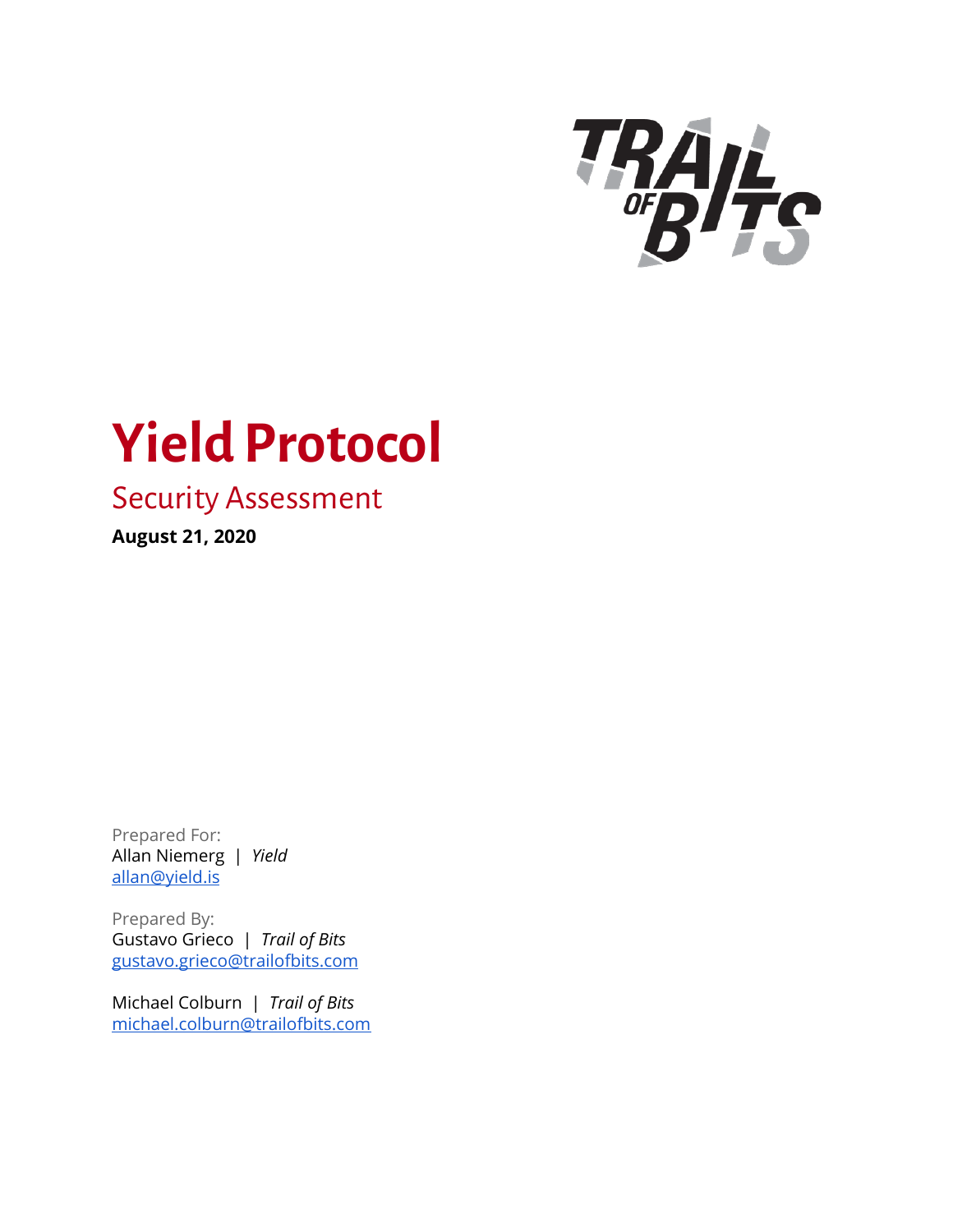

# **Yield Protocol**

# Security Assessment

**August 21, 2020**

Prepared For: Allan Niemerg | *Yield* [allan@yield.is](mailto:allan@yield.is)

Prepared By: Gustavo Grieco | *Trail of Bits* [gustavo.grieco@trailofbits.com](mailto:gustavo.grieco@trailofbits.com)

Michael Colburn | *Trail of Bits* [michael.colburn@trailofbits.com](mailto:michael.colburn@trailofbits.com)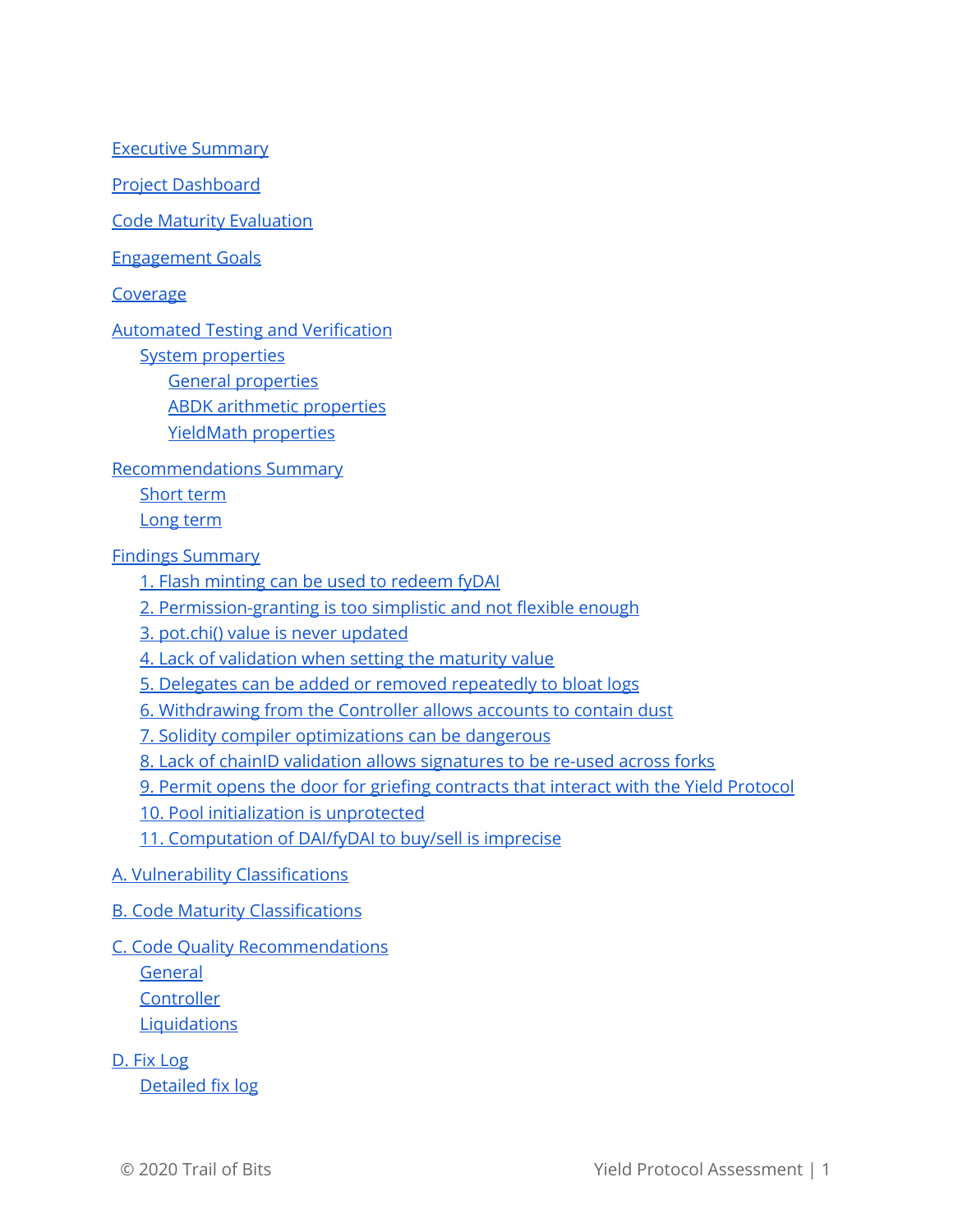Executive [Summary](#page-2-0)

Project [Dashboard](#page-4-0)

Code Maturity [Evaluation](#page-5-0)

[Engagement](#page-6-0) Goals

[Coverage](#page-6-1)

Automated Testing and [Verification](#page-8-0)

System [properties](#page-8-1)

General [properties](#page-8-2) ABDK arithmetic [properties](#page-9-0) YieldMath [properties](#page-10-0)

[Recommendations](#page-11-0) Summary

[Short](#page-11-1) term

[Long](#page-12-0) term

Findings [Summary](#page-13-0)

1. Flash minting can be used to [redeem](#page-14-0) fyDAI

2. [Permission-granting](#page-16-0) is too simplistic and not flexible enough

3. pot.chi() value is never [updated](#page-19-0)

4. Lack of [validation](#page-21-0) when setting the maturity value

5. Delegates can be added or removed [repeatedly](#page-22-0) to bloat logs

6. [Withdrawing](#page-23-0) from the Controller allows accounts to contain dust

7. Solidity compiler [optimizations](#page-25-0) can be dangerous

8. Lack of chainID validation allows [signatures](#page-26-0) to be re-used across forks

9. Permit opens the door for griefing [contracts](#page-27-0) that interact with the Yield Protocol

10. Pool initialization is [unprotected](#page-29-0)

11. [Computation](#page-31-0) of DAI/fyDAI to buy/sell is imprecise

- A. Vulnerability [Classifications](#page-34-0)
- B. Code Maturity [Classifications](#page-36-0)

#### C. Code Quality [Recommendations](#page-38-0)

[General](#page-38-1)

**[Controller](#page-38-2)** 

**[Liquidations](#page-38-3)** 

D. Fix [Log](#page-39-0)

[Detailed](#page-40-0) fix log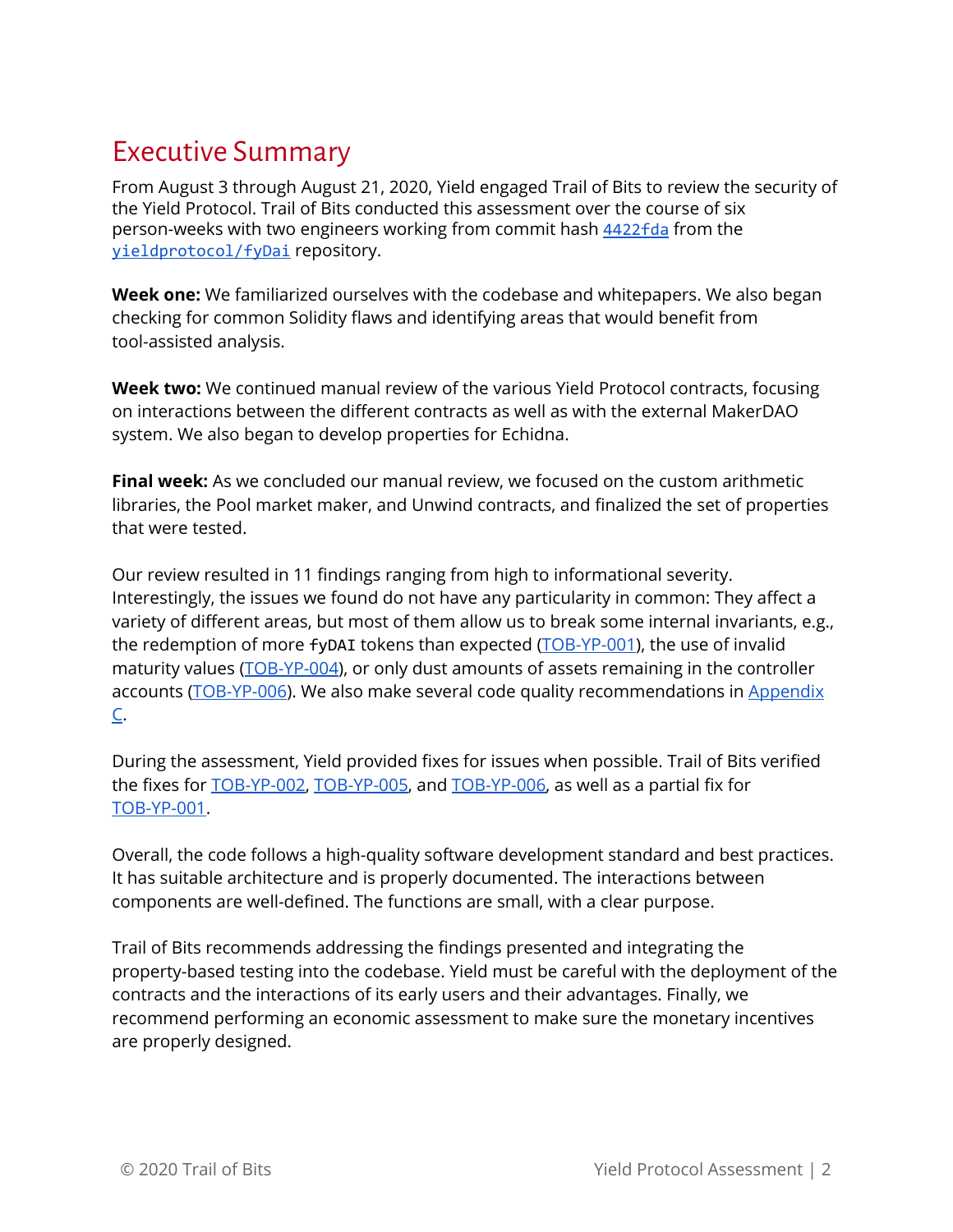# <span id="page-2-0"></span>Executive Summary

From August 3 through August 21, 2020, Yield engaged Trail of Bits to review the security of the Yield Protocol. Trail of Bits conducted this assessment over the course of six person-weeks with two engineers working from commit hash [4422fda](https://github.com/yieldprotocol/fyDai/commit/4422fda75931f2bfea49f5041ec90dc026e5c03d) from the [yieldprotocol/fyDai](https://github.com/yieldprotocol/fyDai) repository.

**Week one:** We familiarized ourselves with the codebase and whitepapers. We also began checking for common Solidity flaws and identifying areas that would benefit from tool-assisted analysis.

**Week two:** We continued manual review of the various Yield Protocol contracts, focusing on interactions between the different contracts as well as with the external MakerDAO system. We also began to develop properties for Echidna.

**Final week:** As we concluded our manual review, we focused on the custom arithmetic libraries, the Pool market maker, and Unwind contracts, and finalized the set of properties that were tested.

Our review resulted in 11 findings ranging from high to informational severity. Interestingly, the issues we found do not have any particularity in common: They affect a variety of different areas, but most of them allow us to break some internal invariants, e.g., the redemption of more fyDAI tokens than expected [\(TOB-YP-001\)](#page-14-0), the use of invalid maturity values ([TOB-YP-004\)](#page-21-0), or only dust amounts of assets remaining in the controller accounts ([TOB-YP-006](#page-23-0)). We also make several code quality recommendations in [Appendix](#page-38-0) [C.](#page-38-0)

During the assessment, Yield provided fixes for issues when possible. Trail of Bits verified the fixes for [TOB-YP-002](https://github.com/yieldprotocol/fyDAI/pull/269), [TOB-YP-005](https://github.com/yieldprotocol/fyDAI/pull/252/files), and [TOB-YP-006,](https://github.com/yieldprotocol/fyDAI/pull/268) as well as a partial fix for [TOB-YP-001.](https://github.com/yieldprotocol/fyDAI/pull/246)

Overall, the code follows a high-quality software development standard and best practices. It has suitable architecture and is properly documented. The interactions between components are well-defined. The functions are small, with a clear purpose.

Trail of Bits recommends addressing the findings presented and integrating the property-based testing into the codebase. Yield must be careful with the deployment of the contracts and the interactions of its early users and their advantages. Finally, we recommend performing an economic assessment to make sure the monetary incentives are properly designed.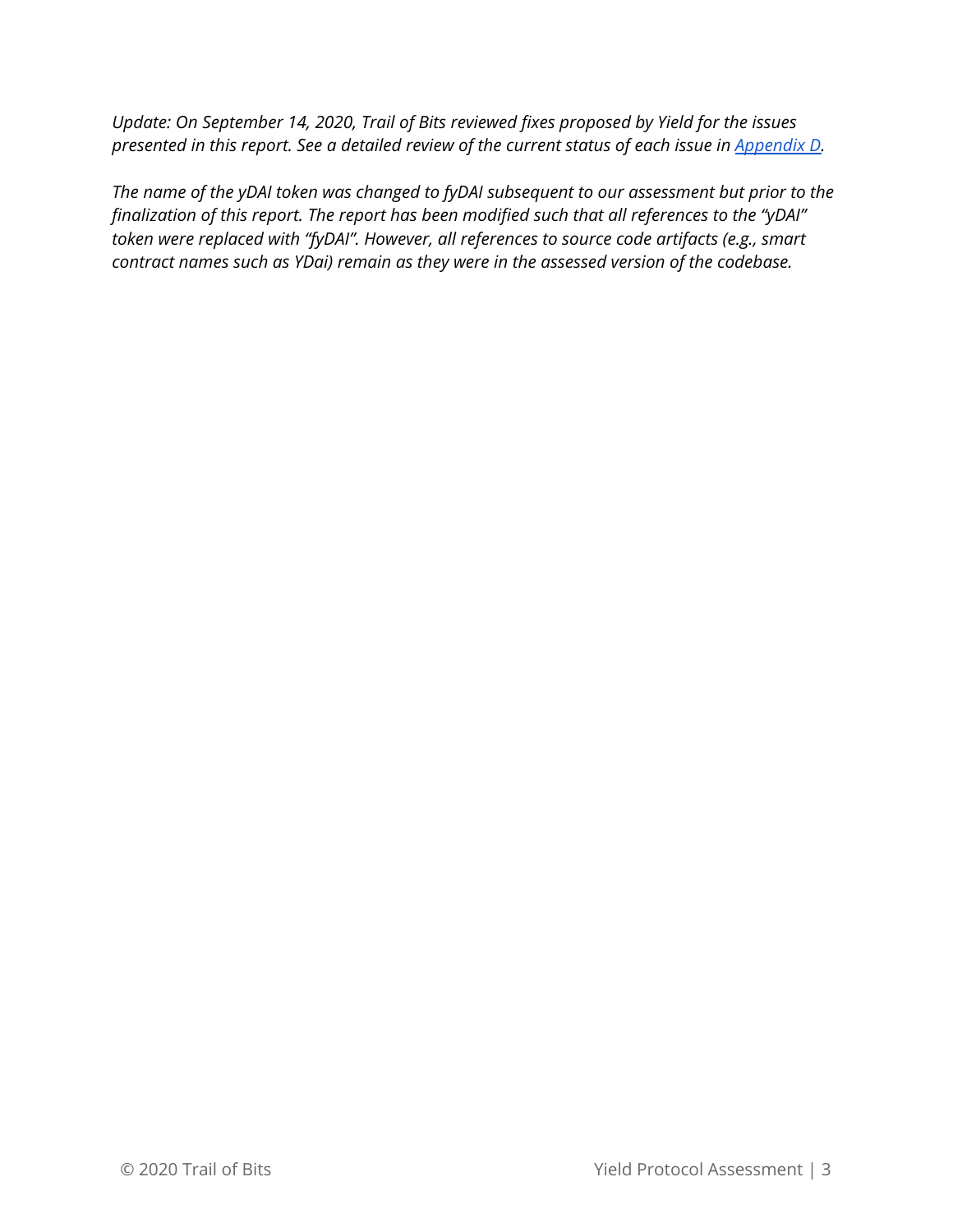*Update: On September 14, 2020, Trail of Bits reviewed fixes proposed by Yield for the issues presented in this report. See a detailed review of the current status of each issue in [Appendix](#page-39-0) D.*

*The name of the yDAI token was changed to fyDAI subsequent to our assessment but prior to the finalization of this report. The report has been modified such that all references to the "yDAI" token were replaced with "fyDAI". However, all references to source code artifacts (e.g., smart contract names such as YDai) remain as they were in the assessed version of the codebase.*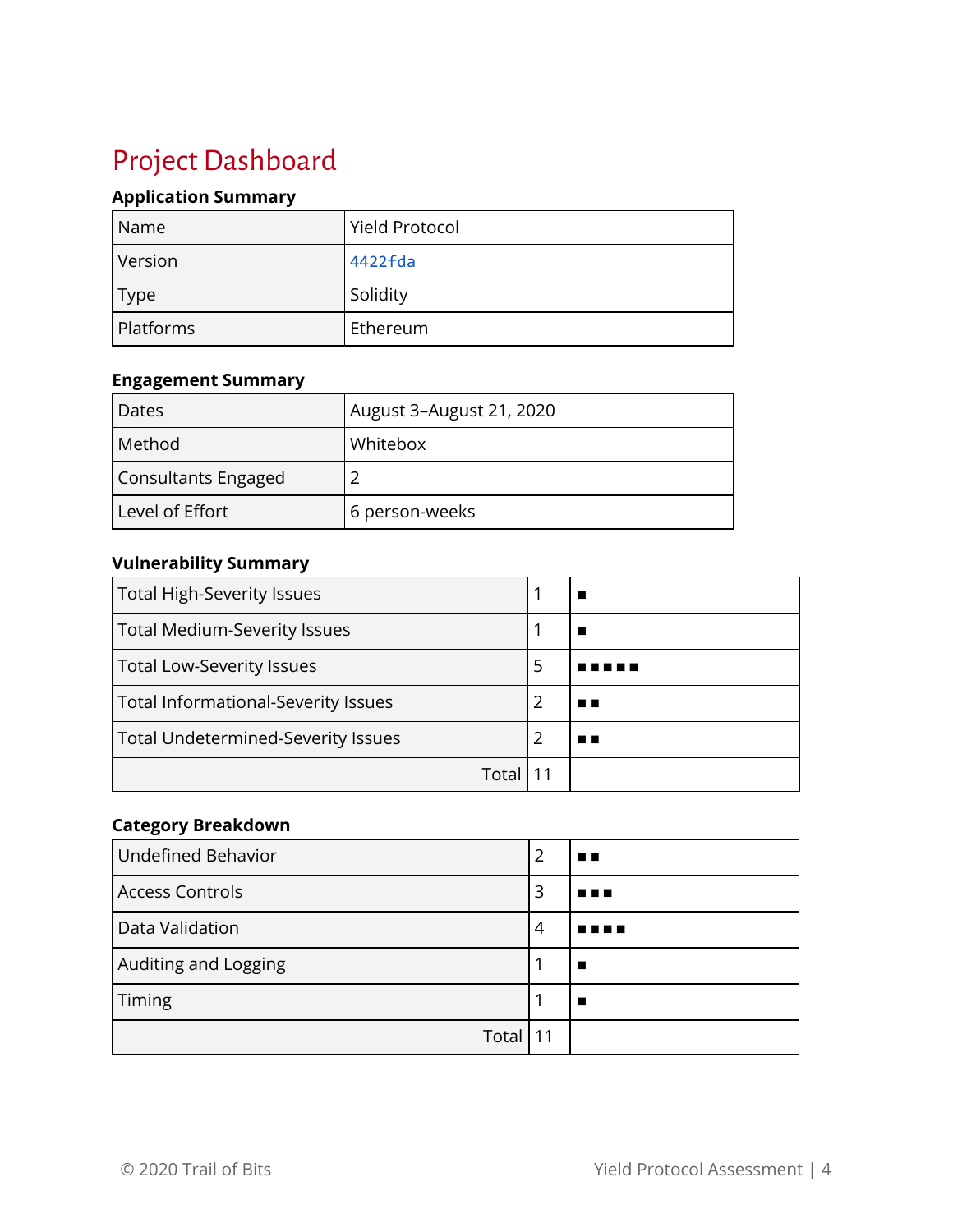# <span id="page-4-0"></span>Project Dashboard

### **Application Summary**

| Name      | <b>Yield Protocol</b> |
|-----------|-----------------------|
| Version   | 4422fda               |
| Type      | Solidity              |
| Platforms | Ethereum              |

#### **Engagement Summary**

| Dates               | August 3-August 21, 2020 |
|---------------------|--------------------------|
| Method              | Whitebox                 |
| Consultants Engaged |                          |
| Level of Effort     | 6 person-weeks           |

#### **Vulnerability Summary**

| <b>Total High-Severity Issues</b>         |   |  |
|-------------------------------------------|---|--|
| <b>Total Medium-Severity Issues</b>       |   |  |
| <b>Total Low-Severity Issues</b>          | 5 |  |
| Total Informational-Severity Issues       | 2 |  |
| <b>Total Undetermined-Severity Issues</b> |   |  |
| Tota                                      |   |  |

#### **Category Breakdown**

| <b>Undefined Behavior</b> | 2 | . . |
|---------------------------|---|-----|
| <b>Access Controls</b>    | 3 | .   |
| Data Validation           | 4 |     |
| Auditing and Logging      |   |     |
| Timing                    |   |     |
| Total                     |   |     |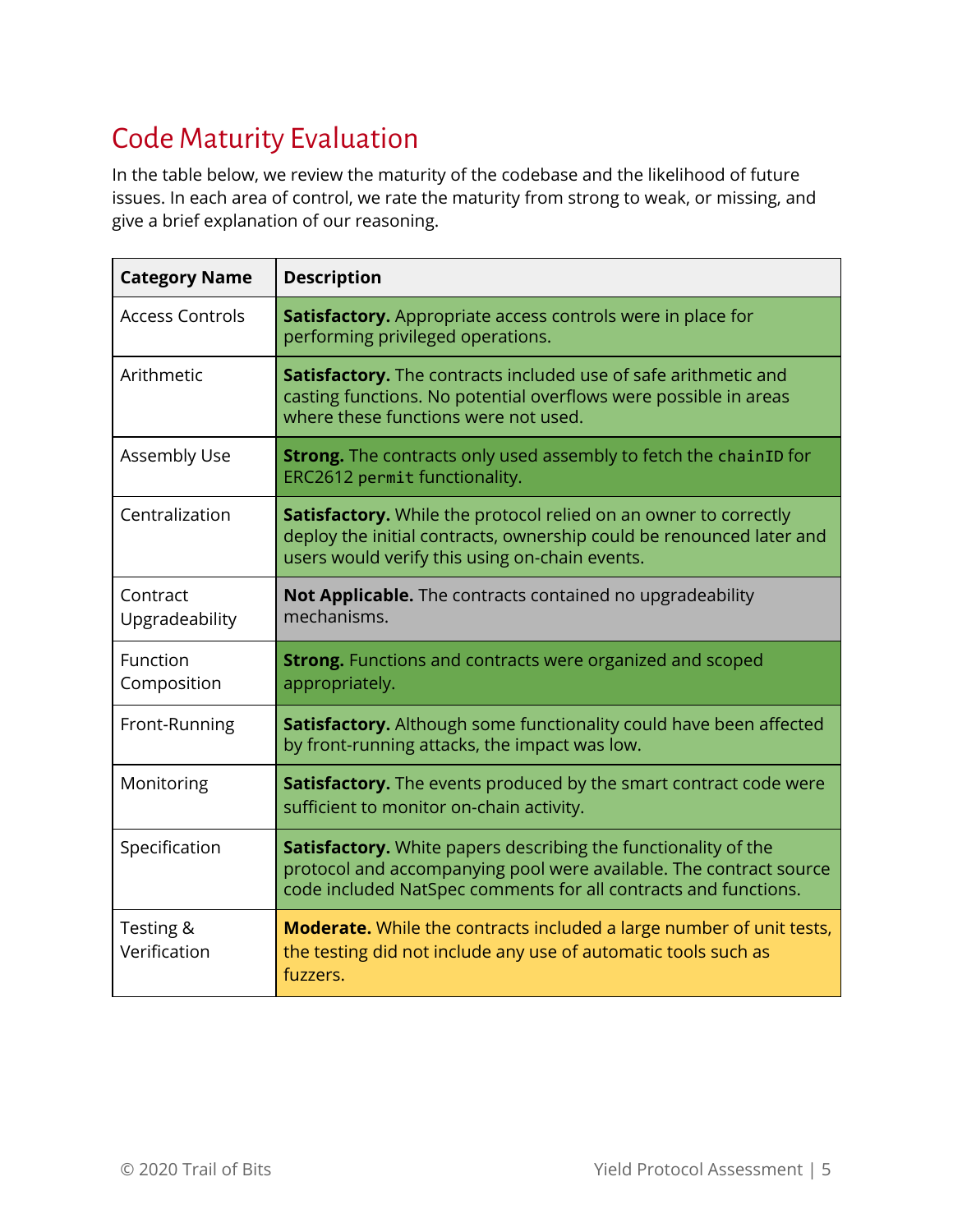# <span id="page-5-0"></span>Code Maturity Evaluation

In the table below, we review the maturity of the codebase and the likelihood of future issues. In each area of control, we rate the maturity from strong to weak, or missing, and give a brief explanation of our reasoning.

| <b>Category Name</b>       | <b>Description</b>                                                                                                                                                                                      |  |
|----------------------------|---------------------------------------------------------------------------------------------------------------------------------------------------------------------------------------------------------|--|
| <b>Access Controls</b>     | Satisfactory. Appropriate access controls were in place for<br>performing privileged operations.                                                                                                        |  |
| Arithmetic                 | Satisfactory. The contracts included use of safe arithmetic and<br>casting functions. No potential overflows were possible in areas<br>where these functions were not used.                             |  |
| Assembly Use               | <b>Strong.</b> The contracts only used assembly to fetch the chainID for<br>ERC2612 permit functionality.                                                                                               |  |
| Centralization             | Satisfactory. While the protocol relied on an owner to correctly<br>deploy the initial contracts, ownership could be renounced later and<br>users would verify this using on-chain events.              |  |
| Contract<br>Upgradeability | Not Applicable. The contracts contained no upgradeability<br>mechanisms.                                                                                                                                |  |
| Function<br>Composition    | <b>Strong.</b> Functions and contracts were organized and scoped<br>appropriately.                                                                                                                      |  |
| Front-Running              | Satisfactory. Although some functionality could have been affected<br>by front-running attacks, the impact was low.                                                                                     |  |
| Monitoring                 | Satisfactory. The events produced by the smart contract code were<br>sufficient to monitor on-chain activity.                                                                                           |  |
| Specification              | Satisfactory. White papers describing the functionality of the<br>protocol and accompanying pool were available. The contract source<br>code included NatSpec comments for all contracts and functions. |  |
| Testing &<br>Verification  | <b>Moderate.</b> While the contracts included a large number of unit tests,<br>the testing did not include any use of automatic tools such as<br>fuzzers.                                               |  |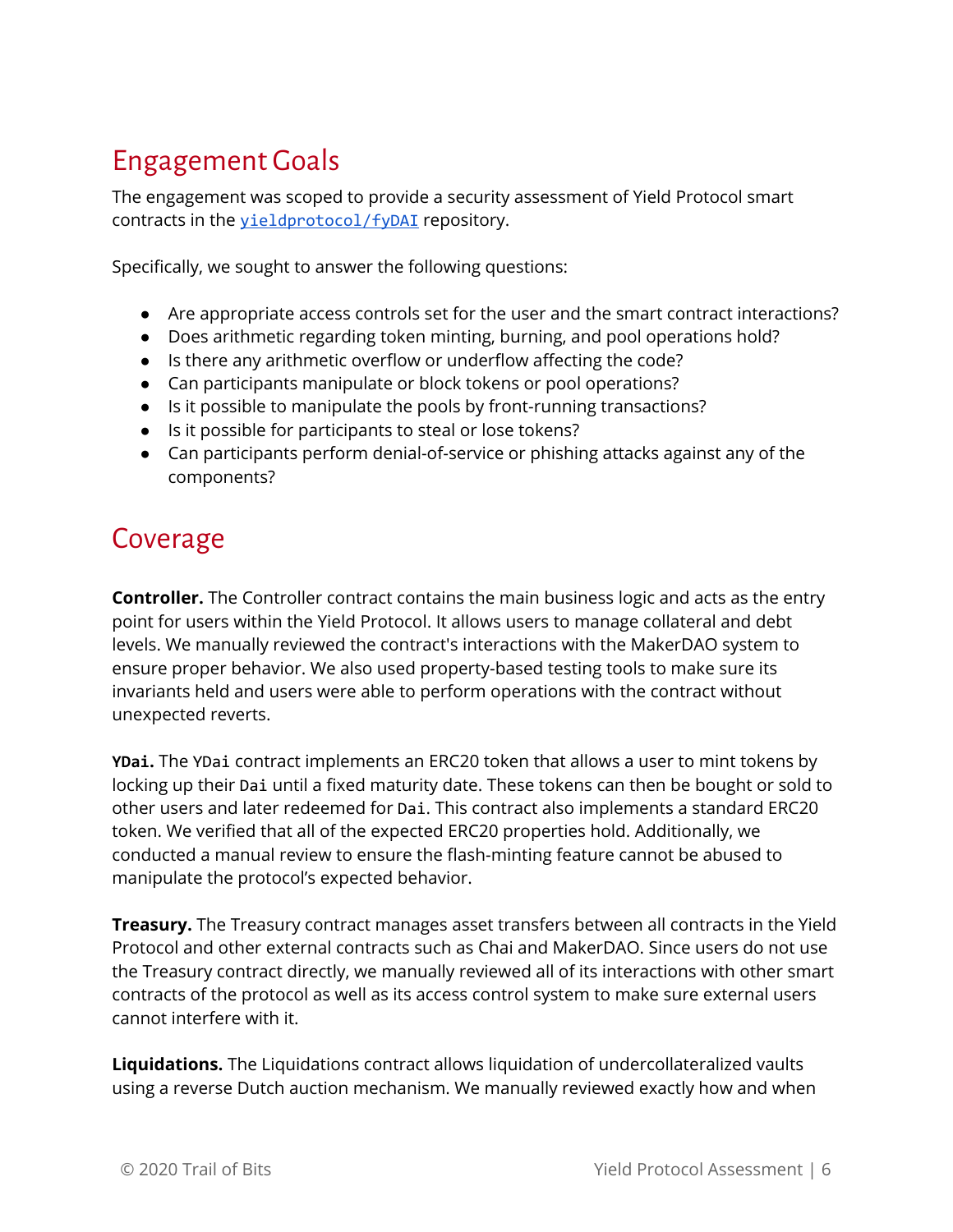# <span id="page-6-0"></span>Engagement Goals

The engagement was scoped to provide a security assessment of Yield Protocol smart contracts in the *[yieldprotocol/fyDAI](https://github.com/yieldprotocol/fyDai)* repository.

Specifically, we sought to answer the following questions:

- Are appropriate access controls set for the user and the smart contract interactions?
- Does arithmetic regarding token minting, burning, and pool operations hold?
- Is there any arithmetic overflow or underflow affecting the code?
- Can participants manipulate or block tokens or pool operations?
- Is it possible to manipulate the pools by front-running transactions?
- Is it possible for participants to steal or lose tokens?
- Can participants perform denial-of-service or phishing attacks against any of the components?

# <span id="page-6-1"></span>Coverage

**Controller.** The Controller contract contains the main business logic and acts as the entry point for users within the Yield Protocol. It allows users to manage collateral and debt levels. We manually reviewed the contract's interactions with the MakerDAO system to ensure proper behavior. We also used property-based testing tools to make sure its invariants held and users were able to perform operations with the contract without unexpected reverts.

**YDai.** The YDai contract implements an ERC20 token that allows a user to mint tokens by locking up their Dai until a fixed maturity date. These tokens can then be bought or sold to other users and later redeemed for Dai. This contract also implements a standard ERC20 token. We verified that all of the expected ERC20 properties hold. Additionally, we conducted a manual review to ensure the flash-minting feature cannot be abused to manipulate the protocol's expected behavior.

**Treasury.** The Treasury contract manages asset transfers between all contracts in the Yield Protocol and other external contracts such as Chai and MakerDAO. Since users do not use the Treasury contract directly, we manually reviewed all of its interactions with other smart contracts of the protocol as well as its access control system to make sure external users cannot interfere with it.

**Liquidations.** The Liquidations contract allows liquidation of undercollateralized vaults using a reverse Dutch auction mechanism. We manually reviewed exactly how and when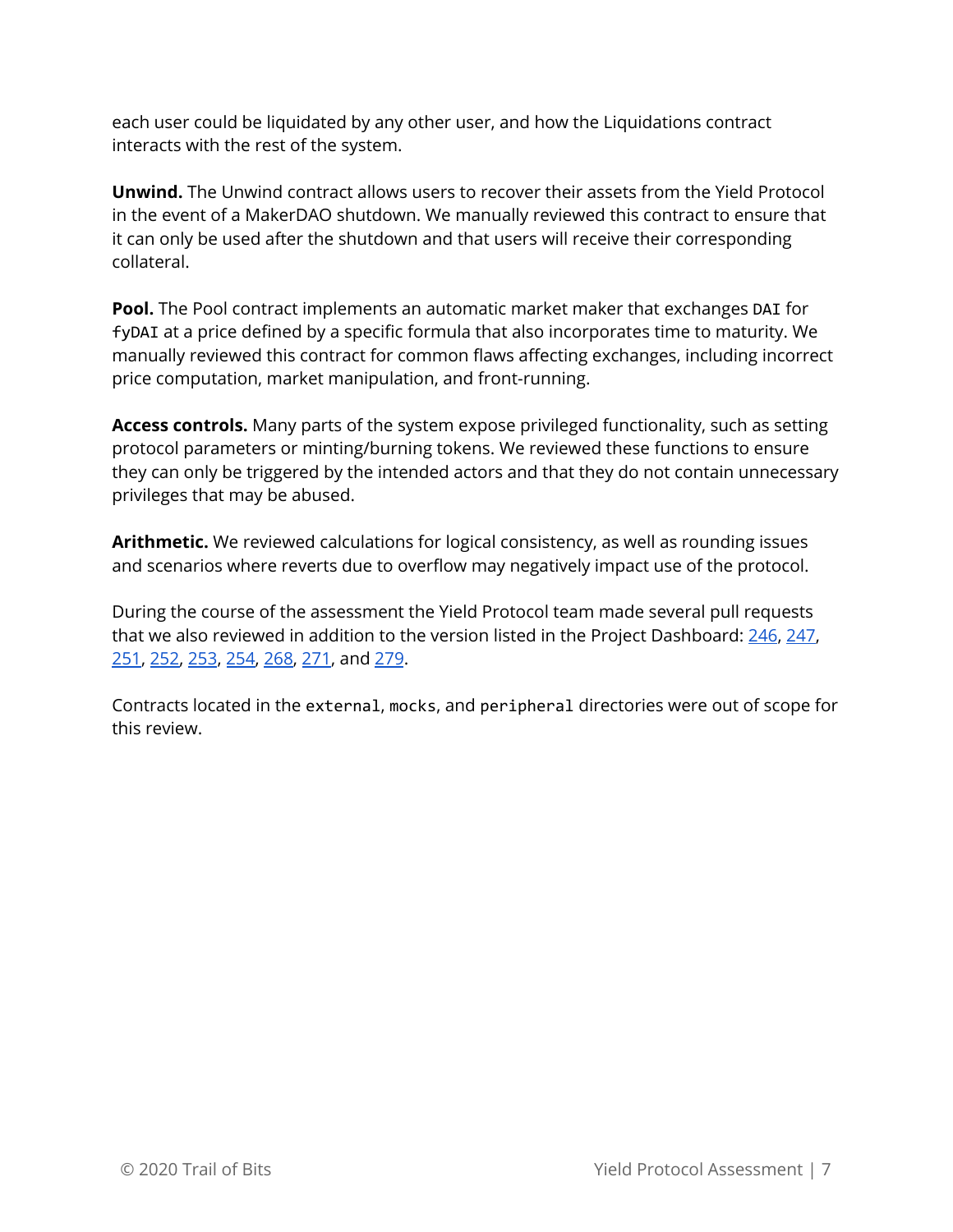each user could be liquidated by any other user, and how the Liquidations contract interacts with the rest of the system.

**Unwind.** The Unwind contract allows users to recover their assets from the Yield Protocol in the event of a MakerDAO shutdown. We manually reviewed this contract to ensure that it can only be used after the shutdown and that users will receive their corresponding collateral.

**Pool.** The Pool contract implements an automatic market maker that exchanges DAI for fyDAI at a price defined by a specific formula that also incorporates time to maturity. We manually reviewed this contract for common flaws affecting exchanges, including incorrect price computation, market manipulation, and front-running.

**Access controls.** Many parts of the system expose privileged functionality, such as setting protocol parameters or minting/burning tokens. We reviewed these functions to ensure they can only be triggered by the intended actors and that they do not contain unnecessary privileges that may be abused.

**Arithmetic.** We reviewed calculations for logical consistency, as well as rounding issues and scenarios where reverts due to overflow may negatively impact use of the protocol.

During the course of the assessment the Yield Protocol team made several pull requests that we also reviewed in addition to the version listed in the Project Dashboard: [246,](https://github.com/yieldprotocol/fyDAI/pull/246) [247](https://github.com/yieldprotocol/fyDAI/pull/247), [251,](https://github.com/yieldprotocol/fyDAI/pull/251) [252,](https://github.com/yieldprotocol/fyDAI/pull/252) [253,](https://github.com/yieldprotocol/fyDAI/pull/253) [254](https://github.com/yieldprotocol/fyDAI/pull/254), [268](https://github.com/yieldprotocol/fyDAI/pull/268), [271,](https://github.com/yieldprotocol/fyDAI/pull/271) and [279.](https://github.com/yieldprotocol/fyDAI/pull/279)

Contracts located in the external, mocks, and peripheral directories were out of scope for this review.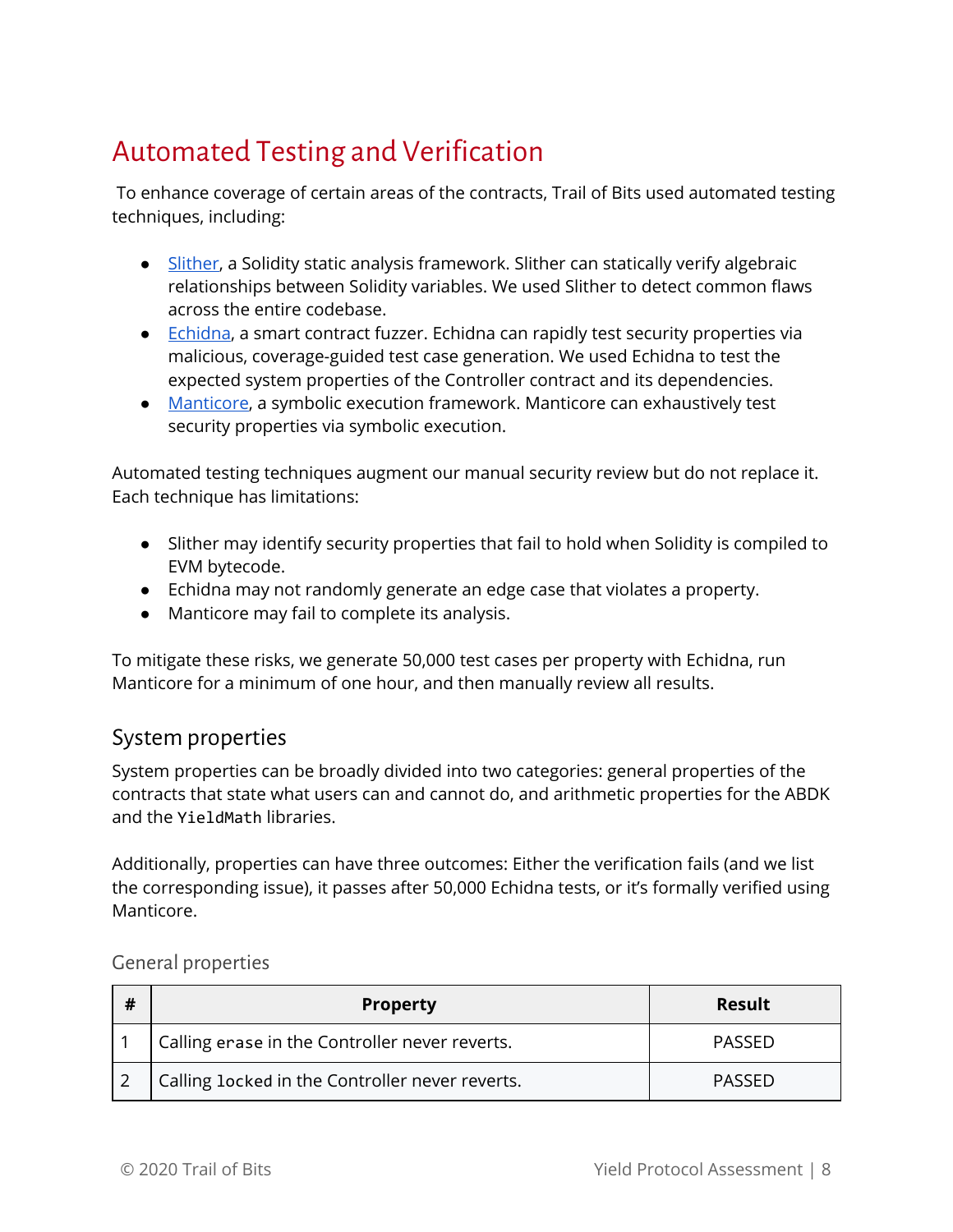# <span id="page-8-0"></span>Automated Testing and Verification

To enhance coverage of certain areas of the contracts, Trail of Bits used automated testing techniques, including:

- [Slither,](https://github.com/trailofbits/slither) a Solidity static analysis framework. Slither can statically verify algebraic relationships between Solidity variables. We used Slither to detect common flaws across the entire codebase.
- [Echidna](https://github.com/trailofbits/echidna), a smart contract fuzzer. Echidna can rapidly test security properties via malicious, coverage-guided test case generation. We used Echidna to test the expected system properties of the Controller contract and its dependencies.
- [Manticore,](https://github.com/trailofbits/manticore) a symbolic execution framework. Manticore can exhaustively test security properties via symbolic execution.

Automated testing techniques augment our manual security review but do not replace it. Each technique has limitations:

- Slither may identify security properties that fail to hold when Solidity is compiled to EVM bytecode.
- Echidna may not randomly generate an edge case that violates a property.
- Manticore may fail to complete its analysis.

To mitigate these risks, we generate 50,000 test cases per property with Echidna, run Manticore for a minimum of one hour, and then manually review all results.

### <span id="page-8-1"></span>System properties

System properties can be broadly divided into two categories: general properties of the contracts that state what users can and cannot do, and arithmetic properties for the ABDK and the YieldMath libraries.

Additionally, properties can have three outcomes: Either the verification fails (and we list the corresponding issue), it passes after 50,000 Echidna tests, or it's formally verified using Manticore.

#### <span id="page-8-2"></span>General properties

| # | <b>Property</b>                                 | <b>Result</b> |
|---|-------------------------------------------------|---------------|
|   | Calling erase in the Controller never reverts.  | PASSED        |
|   | Calling locked in the Controller never reverts. | <b>PASSED</b> |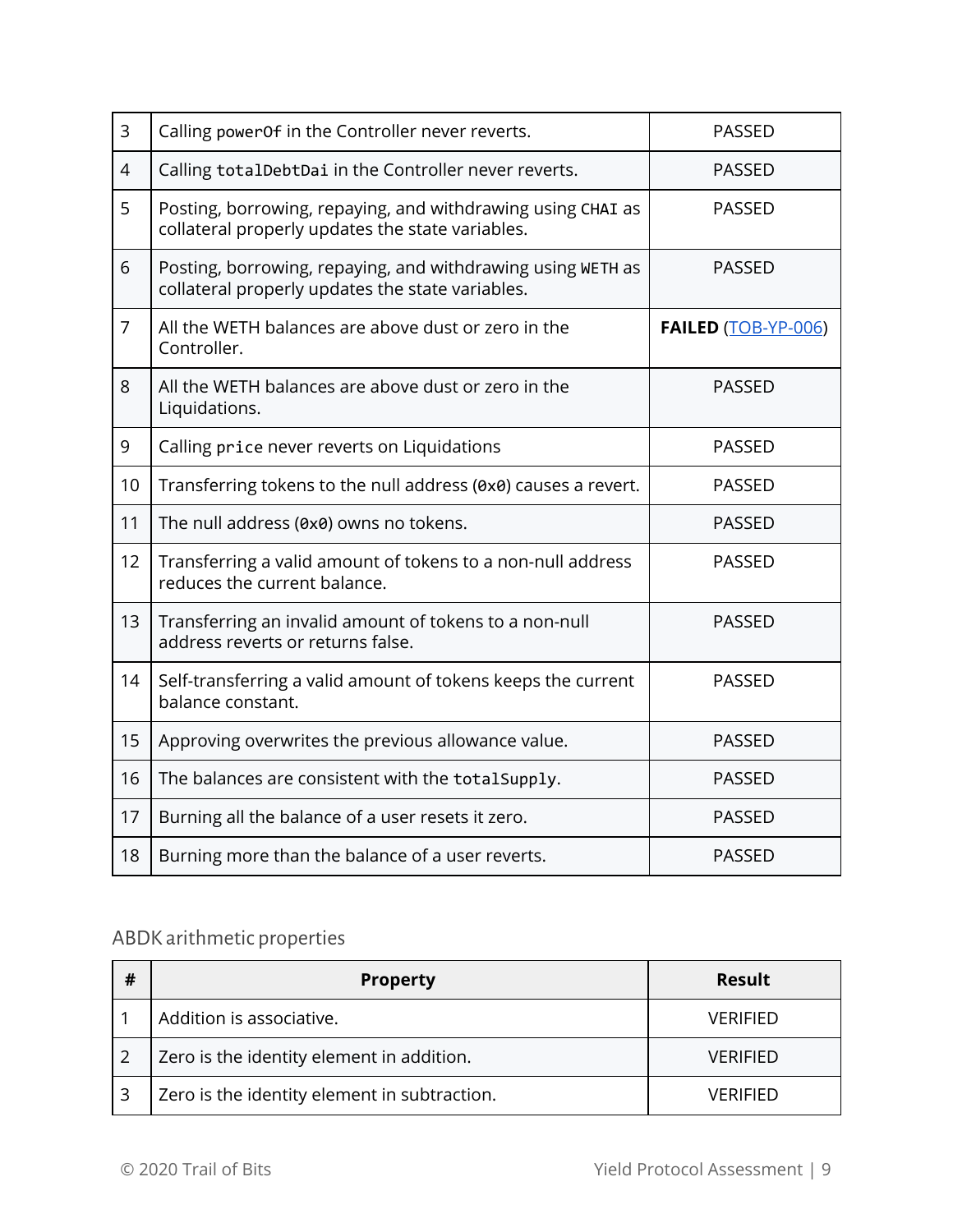| $\overline{3}$ | Calling power0f in the Controller never reverts.                                                                | <b>PASSED</b>       |
|----------------|-----------------------------------------------------------------------------------------------------------------|---------------------|
| 4              | Calling totalDebtDai in the Controller never reverts.                                                           | <b>PASSED</b>       |
| 5              | Posting, borrowing, repaying, and withdrawing using CHAI as<br>collateral properly updates the state variables. | <b>PASSED</b>       |
| 6              | Posting, borrowing, repaying, and withdrawing using WETH as<br>collateral properly updates the state variables. | <b>PASSED</b>       |
| $\overline{7}$ | All the WETH balances are above dust or zero in the<br>Controller.                                              | FAILED (TOB-YP-006) |
| 8              | All the WETH balances are above dust or zero in the<br>Liquidations.                                            | <b>PASSED</b>       |
| 9              | Calling price never reverts on Liquidations                                                                     | <b>PASSED</b>       |
| 10             | Transferring tokens to the null address (0x0) causes a revert.                                                  | <b>PASSED</b>       |
| 11             | The null address (0x0) owns no tokens.                                                                          | <b>PASSED</b>       |
| 12             | Transferring a valid amount of tokens to a non-null address<br>reduces the current balance.                     | <b>PASSED</b>       |
| 13             | Transferring an invalid amount of tokens to a non-null<br>address reverts or returns false.                     | <b>PASSED</b>       |
| 14             | Self-transferring a valid amount of tokens keeps the current<br>balance constant.                               | <b>PASSED</b>       |
| 15             | Approving overwrites the previous allowance value.                                                              | <b>PASSED</b>       |
| 16             | The balances are consistent with the totalSupply.                                                               | <b>PASSED</b>       |
| 17             | Burning all the balance of a user resets it zero.                                                               | <b>PASSED</b>       |
| 18             | Burning more than the balance of a user reverts.                                                                | <b>PASSED</b>       |

# <span id="page-9-0"></span>ABDK arithmetic properties

| # | <b>Property</b>                              | <b>Result</b>   |
|---|----------------------------------------------|-----------------|
|   | Addition is associative.                     | <b>VERIFIED</b> |
|   | Zero is the identity element in addition.    | VERIFIED        |
|   | Zero is the identity element in subtraction. | <b>VERIFIED</b> |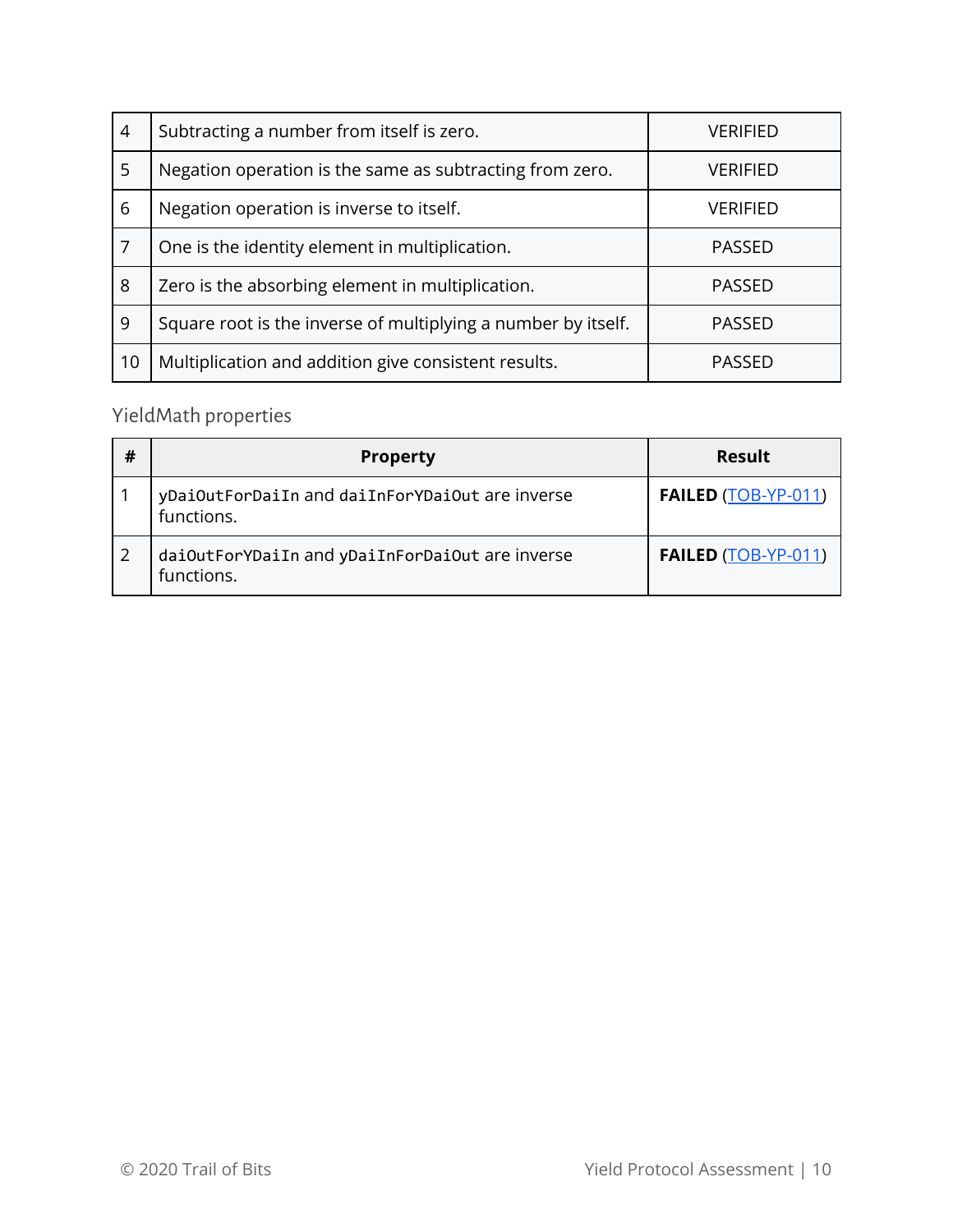| $\overline{4}$ | Subtracting a number from itself is zero.<br>VERIFIED         |                 |
|----------------|---------------------------------------------------------------|-----------------|
| 5              | Negation operation is the same as subtracting from zero.      | VERIFIED        |
| 6              | Negation operation is inverse to itself.                      | <b>VERIFIED</b> |
| 7              | One is the identity element in multiplication.                | <b>PASSED</b>   |
| 8              | Zero is the absorbing element in multiplication.              | <b>PASSED</b>   |
| 9              | Square root is the inverse of multiplying a number by itself. | <b>PASSED</b>   |
| 10             | Multiplication and addition give consistent results.          | <b>PASSED</b>   |

# <span id="page-10-0"></span>YieldMath properties

| # | <b>Property</b>                                               | Result                     |
|---|---------------------------------------------------------------|----------------------------|
|   | yDaiOutForDaiIn and daiInForYDaiOut are inverse<br>functions. | <b>FAILED (TOB-YP-011)</b> |
|   | daiOutForYDaiIn and yDaiInForDaiOut are inverse<br>functions. | <b>FAILED (TOB-YP-011)</b> |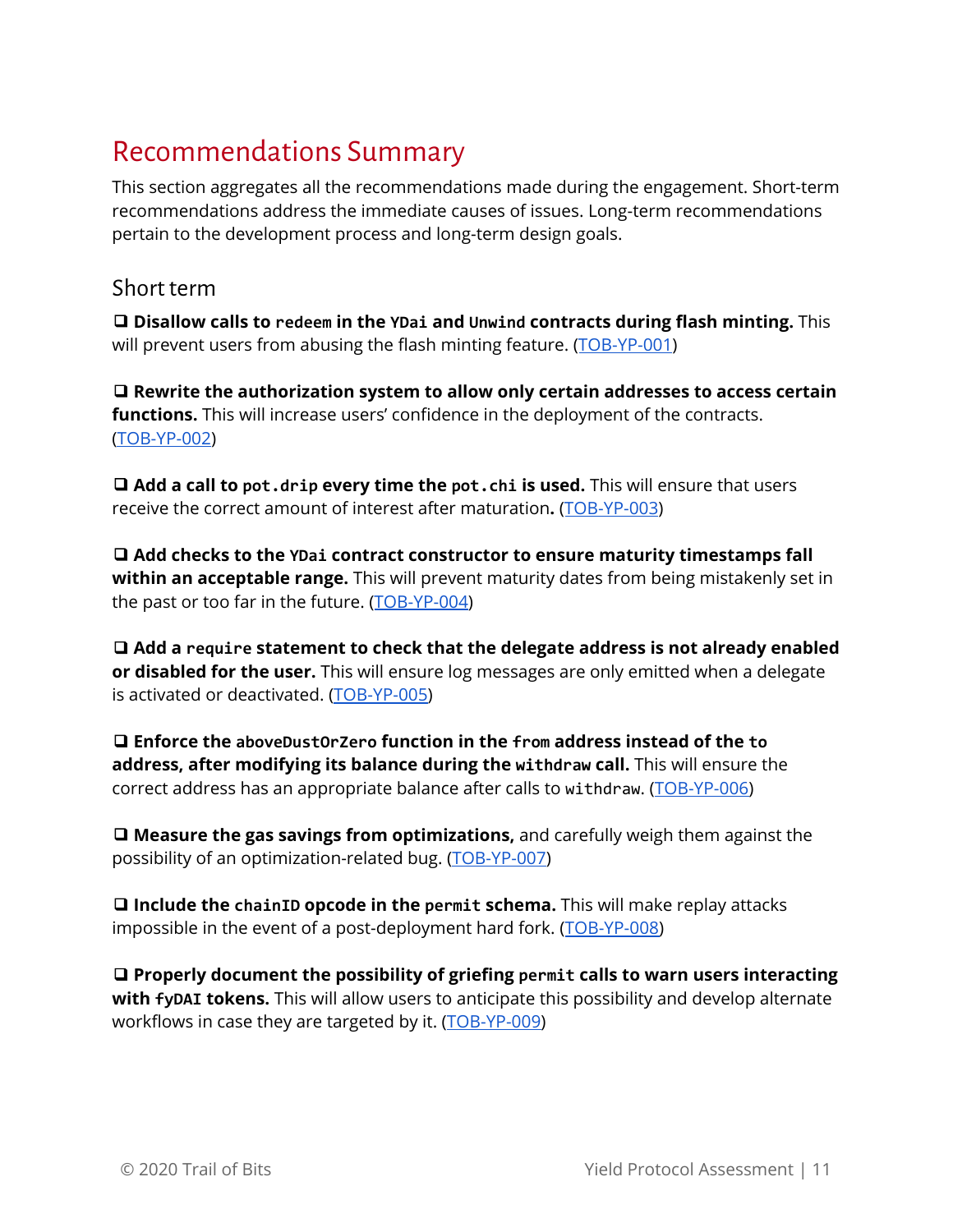# <span id="page-11-0"></span>Recommendations Summary

This section aggregates all the recommendations made during the engagement. Short-term recommendations address the immediate causes of issues. Long-term recommendations pertain to the development process and long-term design goals.

### <span id="page-11-1"></span>Short term

❑ **Disallow calls to redeem in the YDai and Unwind contracts during flash minting.** This will prevent users from abusing the flash minting feature. ([TOB-YP-001](#page-14-0))

❑ **Rewrite the authorization system to allow only certain addresses to access certain functions.** This will increase users' confidence in the deployment of the contracts. [\(TOB-YP-002\)](#page-16-0)

❑ **Add a call to pot.drip every time the pot.chi is used.** This will ensure that users receive the correct amount of interest after maturation**.** ([TOB-YP-003](#page-19-0))

❑ **Add checks to the YDai contract constructor to ensure maturity timestamps fall within an acceptable range.** This will prevent maturity dates from being mistakenly set in the past or too far in the future. ([TOB-YP-004\)](#page-21-0)

❑ **Add a require statement to check that the delegate address is not already enabled or disabled for the user.** This will ensure log messages are only emitted when a delegate is activated or deactivated. [\(TOB-YP-005\)](#page-22-0)

❑ **Enforce the aboveDustOrZero function in the from address instead of the to address, after modifying its balance during the withdraw call.** This will ensure the correct address has an appropriate balance after calls to withdraw. ([TOB-YP-006\)](#page-23-0)

❑ **Measure the gas savings from optimizations,** and carefully weigh them against the possibility of an optimization-related bug. [\(TOB-YP-007](#page-25-0))

❑ **Include the chainID opcode in the permit schema.** This will make replay attacks impossible in the event of a post-deployment hard fork. [\(TOB-YP-008\)](#page-26-0)

❑ **Properly document the possibility of griefing permit calls to warn users interacting with fyDAI tokens.** This will allow users to anticipate this possibility and develop alternate workflows in case they are targeted by it. [\(TOB-YP-009\)](#page-27-0)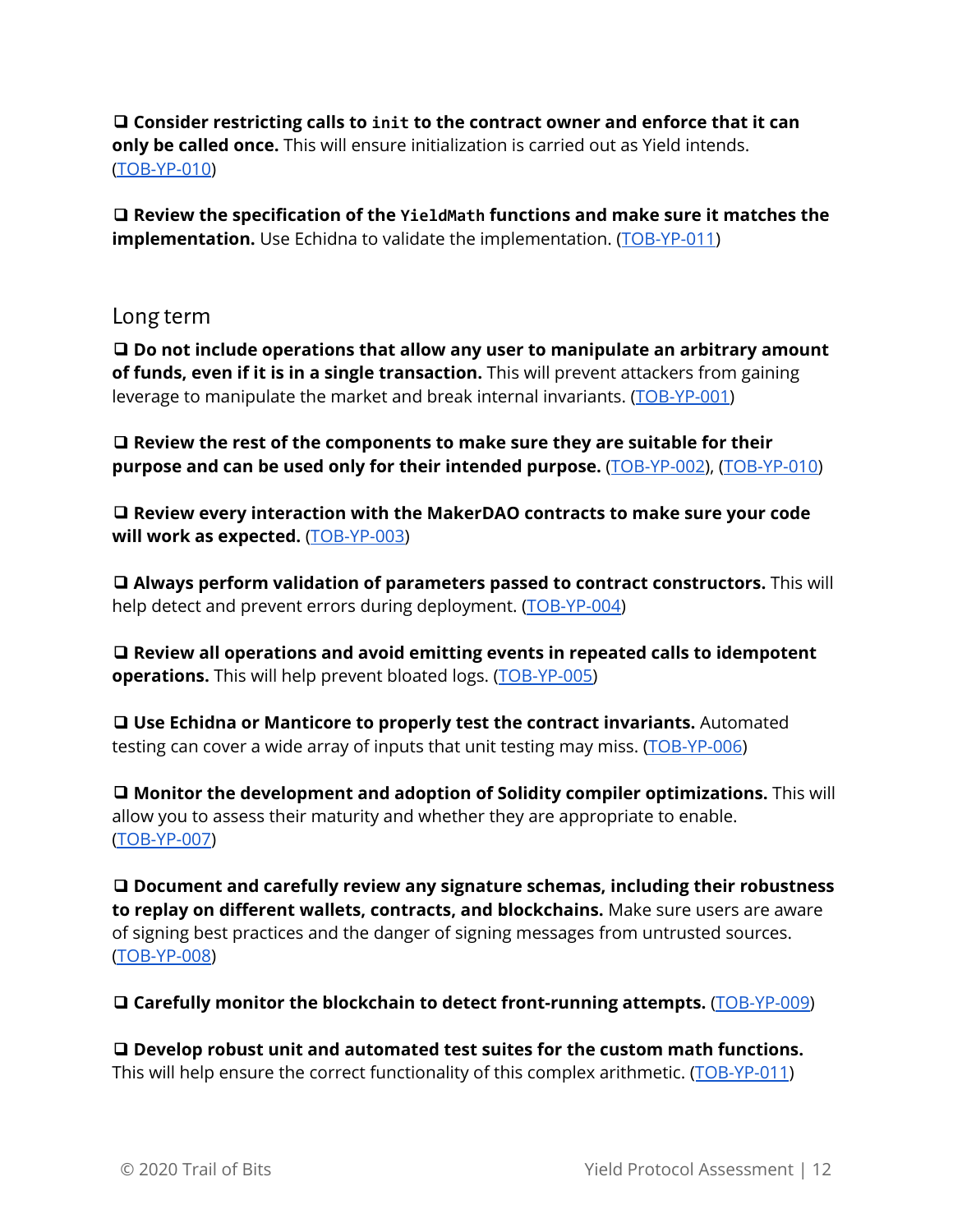❑ **Consider restricting calls to init to the contract owner and enforce that it can only be called once.** This will ensure initialization is carried out as Yield intends. [\(TOB-YP-010\)](#page-29-0)

❑ **Review the specification of the YieldMath functions and make sure it matches the implementation.** Use Echidna to validate the implementation. ([TOB-YP-011\)](#page-31-0)

#### <span id="page-12-0"></span>Long term

❑ **Do not include operations that allow any user to manipulate an arbitrary amount of funds, even if it is in a single transaction.** This will prevent attackers from gaining leverage to manipulate the market and break internal invariants. ([TOB-YP-001\)](#page-14-0)

❑ **Review the rest of the components to make sure they are suitable for their purpose and can be used only for their intended purpose.** ([TOB-YP-002](#page-16-0)), [\(TOB-YP-010\)](#page-29-0)

❑ **Review every interaction with the MakerDAO contracts to make sure your code will work as expected.** ([TOB-YP-003](#page-19-0))

❑ **Always perform validation of parameters passed to contract constructors.** This will help detect and prevent errors during deployment. [\(TOB-YP-004](#page-21-0))

❑ **Review all operations and avoid emitting events in repeated calls to idempotent operations.** This will help prevent bloated logs. [\(TOB-YP-005\)](#page-22-0)

❑ **Use Echidna or Manticore to properly test the contract invariants.** Automated testing can cover a wide array of inputs that unit testing may miss. [\(TOB-YP-006](#page-23-0))

❑ **Monitor the development and adoption of Solidity compiler optimizations.** This will allow you to assess their maturity and whether they are appropriate to enable. [\(TOB-YP-007\)](#page-25-0)

❑ **Document and carefully review any signature schemas, including their robustness to replay on different wallets, contracts, and blockchains.** Make sure users are aware of signing best practices and the danger of signing messages from untrusted sources. [\(TOB-YP-008\)](#page-26-0)

❑ **Carefully monitor the blockchain to detect front-running attempts.** ([TOB-YP-009](#page-27-0))

❑ **Develop robust unit and automated test suites for the custom math functions.** This will help ensure the correct functionality of this complex arithmetic. ([TOB-YP-011](#page-31-0))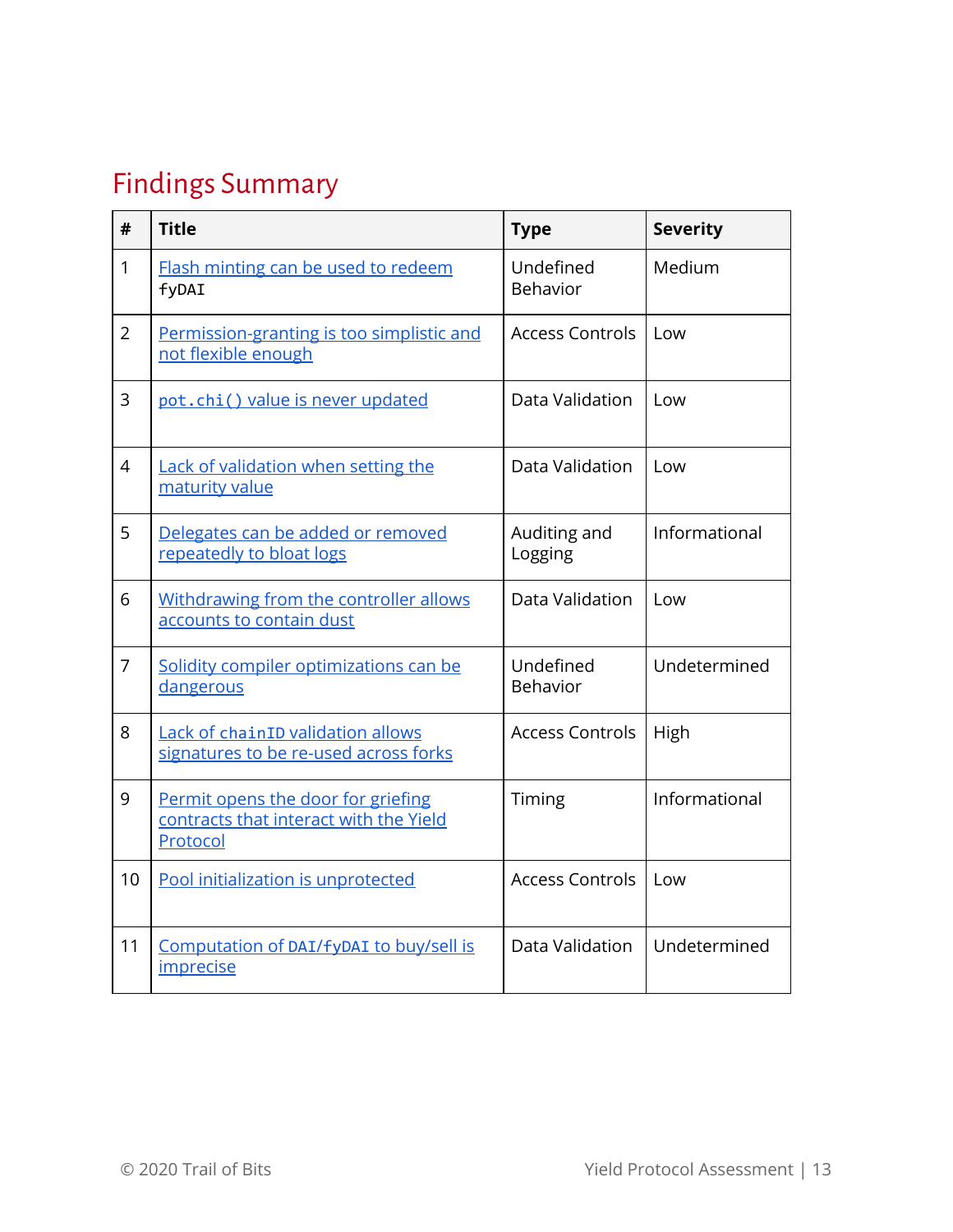# <span id="page-13-0"></span>Findings Summary

| #              | <b>Title</b>                                                                             | <b>Type</b>             | <b>Severity</b> |
|----------------|------------------------------------------------------------------------------------------|-------------------------|-----------------|
| 1              | Flash minting can be used to redeem<br>fyDAI                                             | Undefined<br>Behavior   | Medium          |
| $\overline{2}$ | Permission-granting is too simplistic and<br>not flexible enough                         | <b>Access Controls</b>  | Low             |
| 3              | pot.chi() value is never updated                                                         | Data Validation         | Low             |
| $\overline{4}$ | Lack of validation when setting the<br>maturity value                                    | Data Validation         | Low             |
| 5              | Delegates can be added or removed<br>repeatedly to bloat logs                            | Auditing and<br>Logging | Informational   |
| 6              | Withdrawing from the controller allows<br>accounts to contain dust                       | Data Validation         | Low             |
| $\overline{7}$ | Solidity compiler optimizations can be<br>dangerous                                      | Undefined<br>Behavior   | Undetermined    |
| 8              | Lack of chainID validation allows<br>signatures to be re-used across forks               | <b>Access Controls</b>  | High            |
| 9              | Permit opens the door for griefing<br>contracts that interact with the Yield<br>Protocol | Timing                  | Informational   |
| 10             | Pool initialization is unprotected                                                       | <b>Access Controls</b>  | Low             |
| 11             | Computation of DAI/fyDAI to buy/sell is<br>imprecise                                     | Data Validation         | Undetermined    |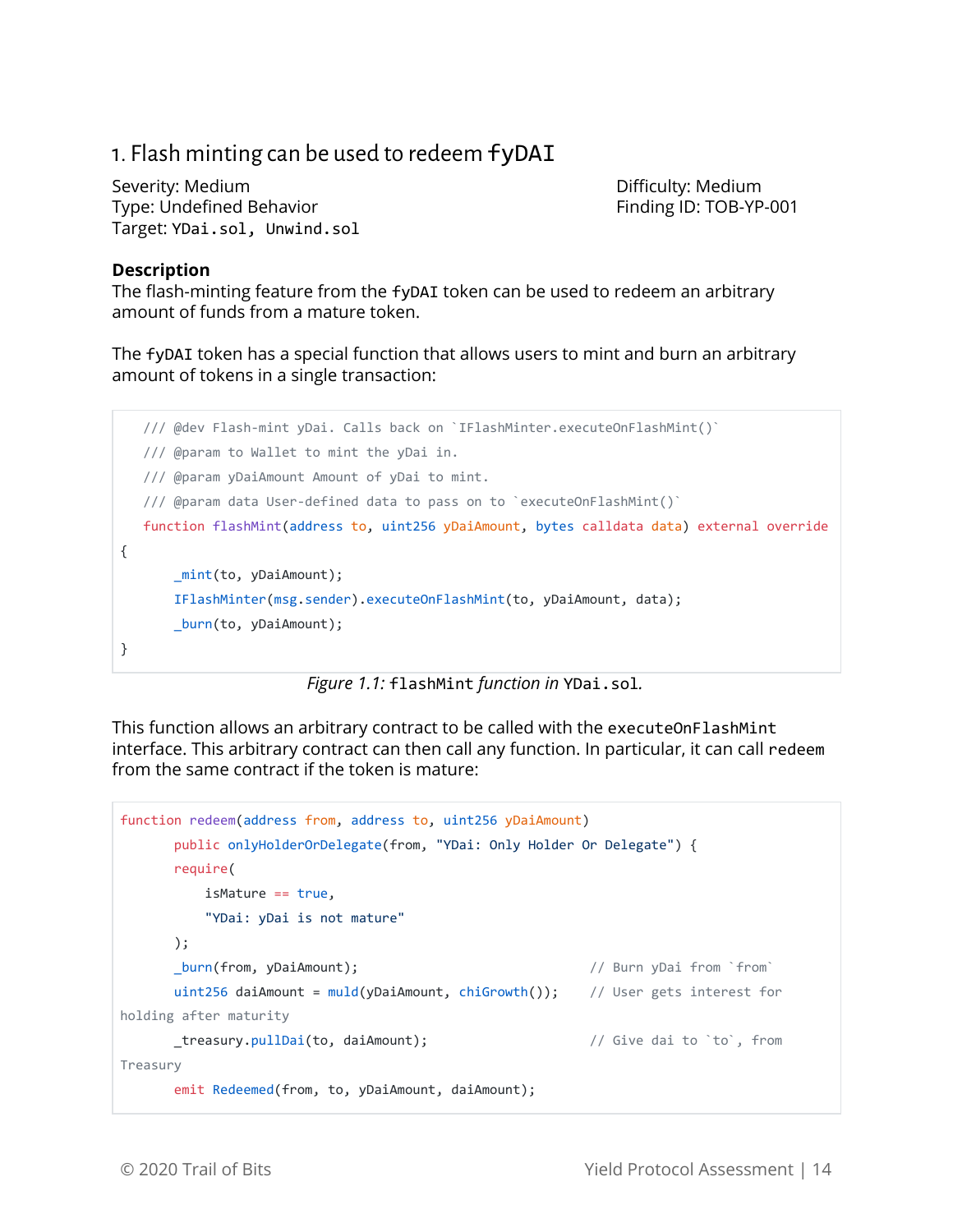### <span id="page-14-0"></span>1. Flash minting can be used to redeem fyDAI

Severity: Medium and Difficulty: Medium Difficulty: Medium Type: Undefined Behavior Type: The Finding ID: TOB-YP-001 Target: YDai.sol, Unwind.sol

#### **Description**

The flash-minting feature from the fyDAI token can be used to redeem an arbitrary amount of funds from a mature token.

The fyDAI token has a special function that allows users to mint and burn an arbitrary amount of tokens in a single transaction:

```
 /// @dev Flash-mint yDai. Calls back on `IFlashMinter.executeOnFlashMint()`
   /// @param to Wallet to mint the yDai in.
   /// @param yDaiAmount Amount of yDai to mint.
   /// @param data User-defined data to pass on to `executeOnFlashMint()`
   function flashMint(address to, uint256 yDaiAmount, bytes calldata data) external override
{
        _mint(to, yDaiAmount);
        IFlashMinter(msg.sender).executeOnFlashMint(to, yDaiAmount, data);
        _burn(to, yDaiAmount);
}
```
*Figure 1.1:* flashMint *function in* YDai.sol*.*

This function allows an arbitrary contract to be called with the executeOnFlashMint interface. This arbitrary contract can then call any function. In particular, it can call redeem from the same contract if the token is mature:

```
function redeem(address from, address to, uint256 yDaiAmount)
       public onlyHolderOrDelegate(from, "YDai: Only Holder Or Delegate") {
       require(
           isMature == true,
           "YDai: yDai is not mature"
       );
       _burn(from, yDaiAmount); // Burn yDai from `from`
      uint256 daiAmount = muld(yDaiAmount, chiGrowth()); // User gets interest for
holding after maturity
       _treasury.pullDai(to, daiAmount); // Give dai to `to`, from
Treasury
       emit Redeemed(from, to, yDaiAmount, daiAmount);
```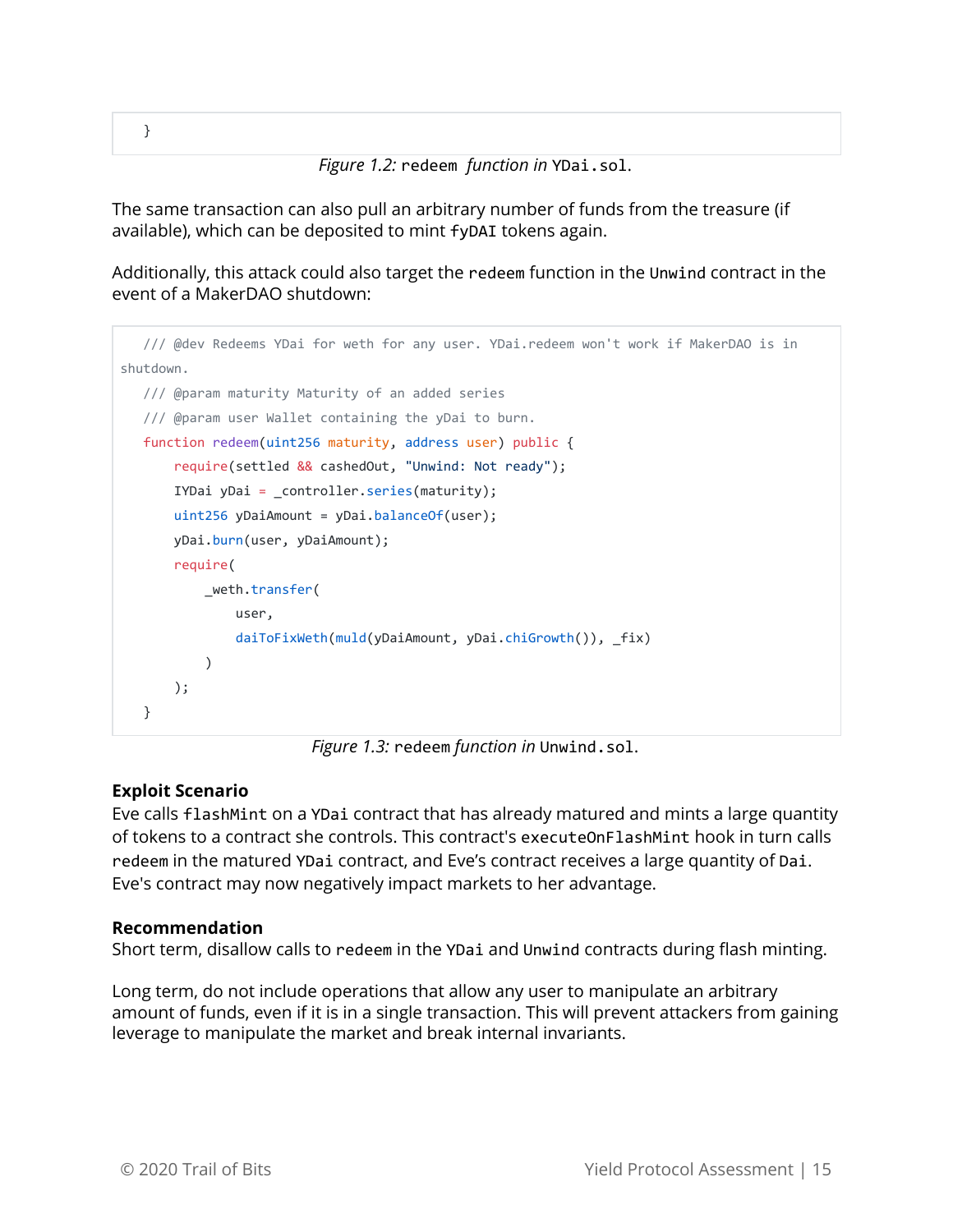}

*Figure 1.2:* redeem *function in* YDai.sol.

The same transaction can also pull an arbitrary number of funds from the treasure (if available), which can be deposited to mint fyDAI tokens again.

Additionally, this attack could also target the redeem function in the Unwind contract in the event of a MakerDAO shutdown:

```
 /// @dev Redeems YDai for weth for any user. YDai.redeem won't work if MakerDAO is in
shutdown.
    /// @param maturity Maturity of an added series
    /// @param user Wallet containing the yDai to burn.
    function redeem(uint256 maturity, address user) public {
        require(settled && cashedOut, "Unwind: Not ready");
        IYDai yDai = _controller.series(maturity);
       uint256 yDaiAmount = yDai.balanceOf(user);
        yDai.burn(user, yDaiAmount);
        require(
            _weth.transfer(
                user,
                daiToFixWeth(muld(yDaiAmount, yDai.chiGrowth()), _fix)
\overline{\phantom{a}} );
    }
```
*Figure 1.3:* redeem *function in* Unwind.sol.

#### **Exploit Scenario**

Eve calls flashMint on a YDai contract that has already matured and mints a large quantity of tokens to a contract she controls. This contract's executeOnFlashMint hook in turn calls redeem in the matured YDai contract, and Eve's contract receives a large quantity of Dai. Eve's contract may now negatively impact markets to her advantage.

#### **Recommendation**

Short term, disallow calls to redeem in the YDai and Unwind contracts during flash minting.

Long term, do not include operations that allow any user to manipulate an arbitrary amount of funds, even if it is in a single transaction. This will prevent attackers from gaining leverage to manipulate the market and break internal invariants.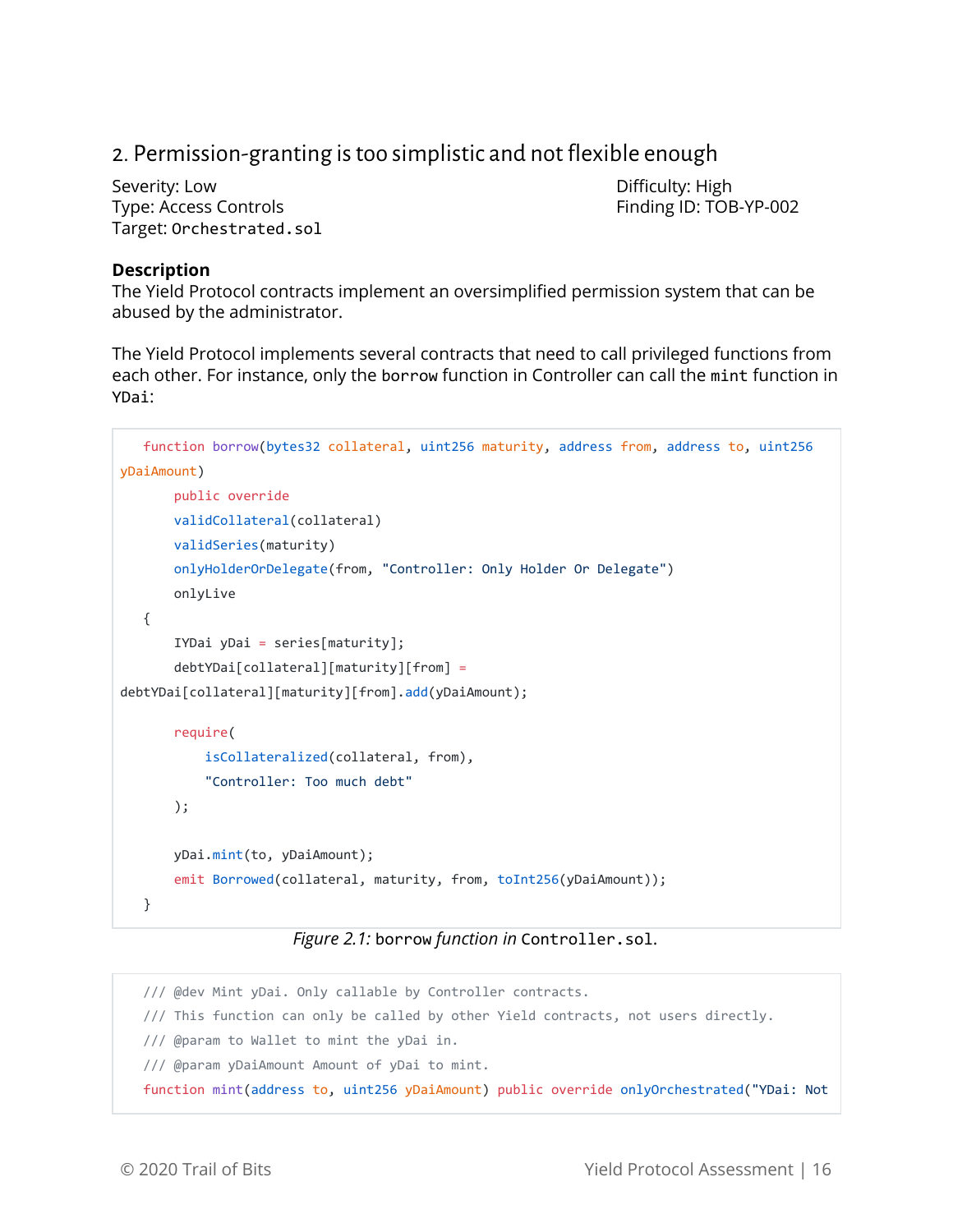# <span id="page-16-0"></span>2. Permission-granting istoo simplistic and not flexible enough

Severity: Low **Difficulty: High** Type: Access Controls Finding ID: TOB-YP-002 Target: Orchestrated.sol

#### **Description**

The Yield Protocol contracts implement an oversimplified permission system that can be abused by the administrator.

The Yield Protocol implements several contracts that need to call privileged functions from each other. For instance, only the borrow function in Controller can call the mint function in YDai:

```
 function borrow(bytes32 collateral, uint256 maturity, address from, address to, uint256
yDaiAmount)
        public override
        validCollateral(collateral)
        validSeries(maturity)
        onlyHolderOrDelegate(from, "Controller: Only Holder Or Delegate")
        onlyLive
    {
        IYDai yDai = series[maturity];
        debtYDai[collateral][maturity][from] =
debtYDai[collateral][maturity][from].add(yDaiAmount);
        require(
            isCollateralized(collateral, from),
            "Controller: Too much debt"
        );
        yDai.mint(to, yDaiAmount);
       emit Borrowed(collateral, maturity, from, toInt256(yDaiAmount));
    }
```
#### *Figure 2.1:* borrow *function in* Controller.sol.

 /// @dev Mint yDai. Only callable by Controller contracts. /// This function can only be called by other Yield contracts, not users directly. /// @param to Wallet to mint the yDai in. /// @param yDaiAmount Amount of yDai to mint. function mint(address to, uint256 yDaiAmount) public override onlyOrchestrated("YDai: Not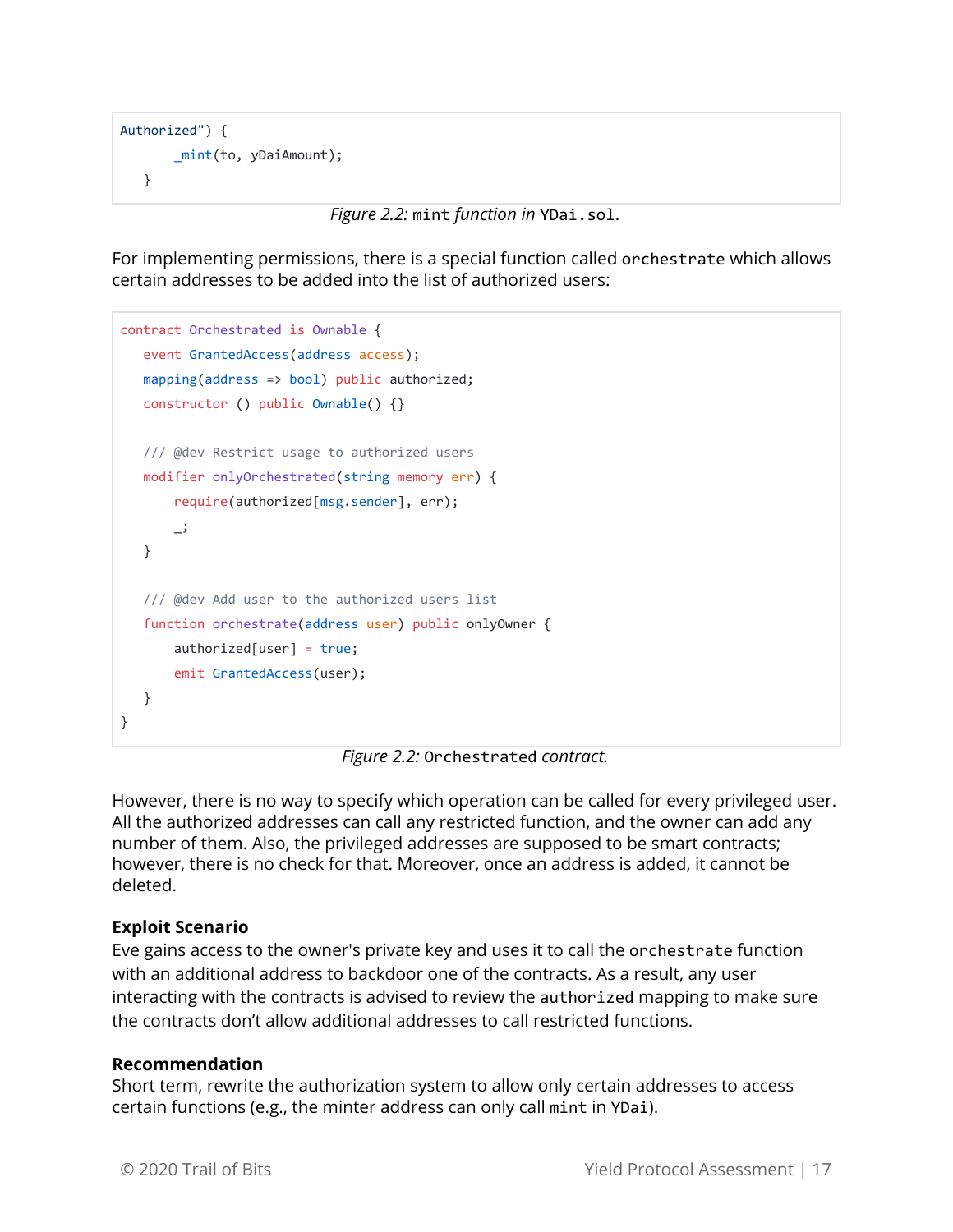```
Authorized") {
        _mint(to, yDaiAmount);
    }
```
*Figure 2.2:* mint *function in* YDai.sol.

For implementing permissions, there is a special function called orchestrate which allows certain addresses to be added into the list of authorized users:

```
contract Orchestrated is Ownable {
    event GrantedAccess(address access);
    mapping(address => bool) public authorized;
    constructor () public Ownable() {}
   /// @dev Restrict usage to authorized users
    modifier onlyOrchestrated(string memory err) {
        require(authorized[msg.sender], err);
        _;
    }
    /// @dev Add user to the authorized users list
    function orchestrate(address user) public onlyOwner {
       authorizontal[user] = true; emit GrantedAccess(user);
    }
}
```
*Figure 2.2:* Orchestrated *contract.*

However, there is no way to specify which operation can be called for every privileged user. All the authorized addresses can call any restricted function, and the owner can add any number of them. Also, the privileged addresses are supposed to be smart contracts; however, there is no check for that. Moreover, once an address is added, it cannot be deleted.

#### **Exploit Scenario**

Eve gains access to the owner's private key and uses it to call the orchestrate function with an additional address to backdoor one of the contracts. As a result, any user interacting with the contracts is advised to review the authorized mapping to make sure the contracts don't allow additional addresses to call restricted functions.

#### **Recommendation**

Short term, rewrite the authorization system to allow only certain addresses to access certain functions (e.g., the minter address can only call mint in YDai).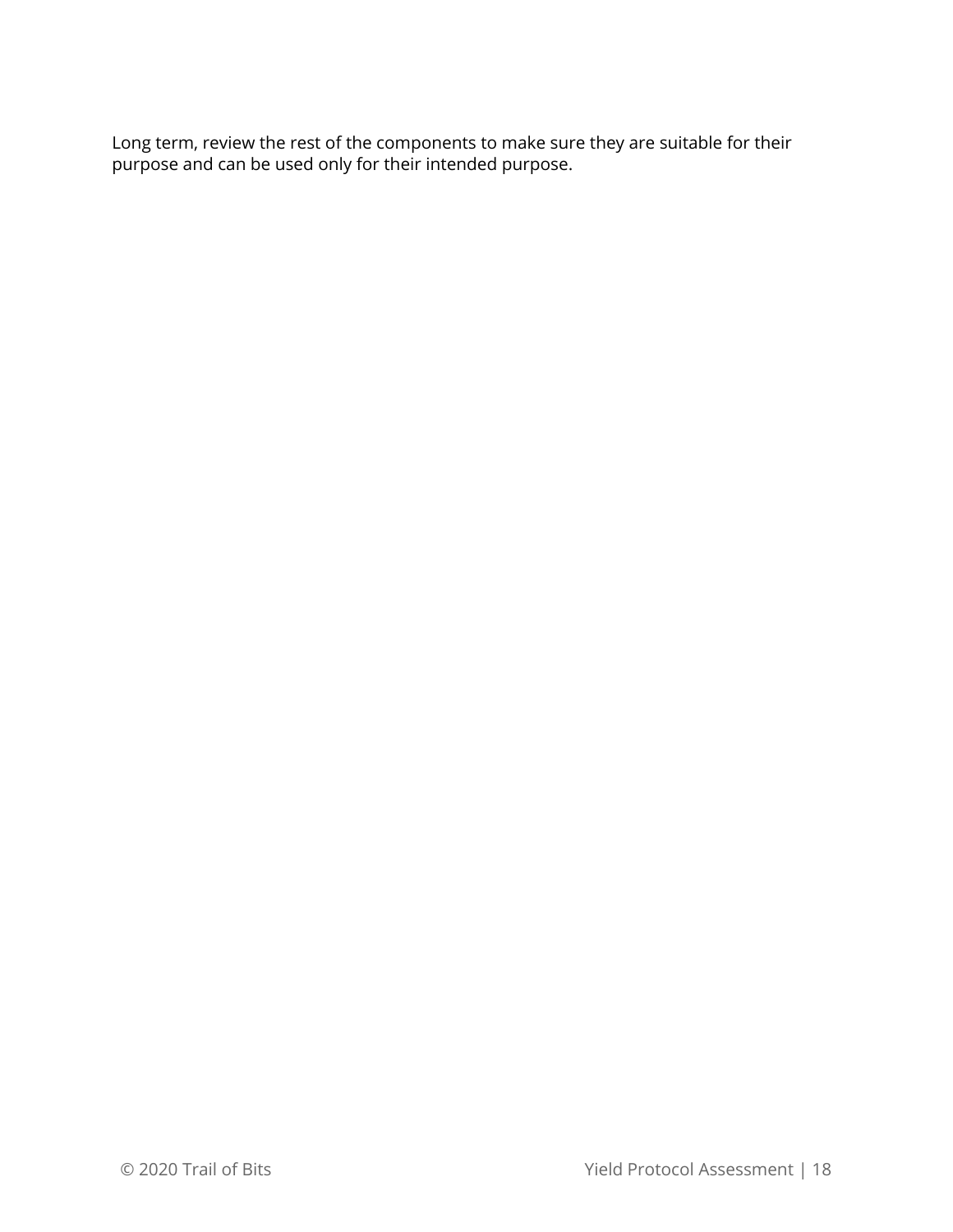Long term, review the rest of the components to make sure they are suitable for their purpose and can be used only for their intended purpose.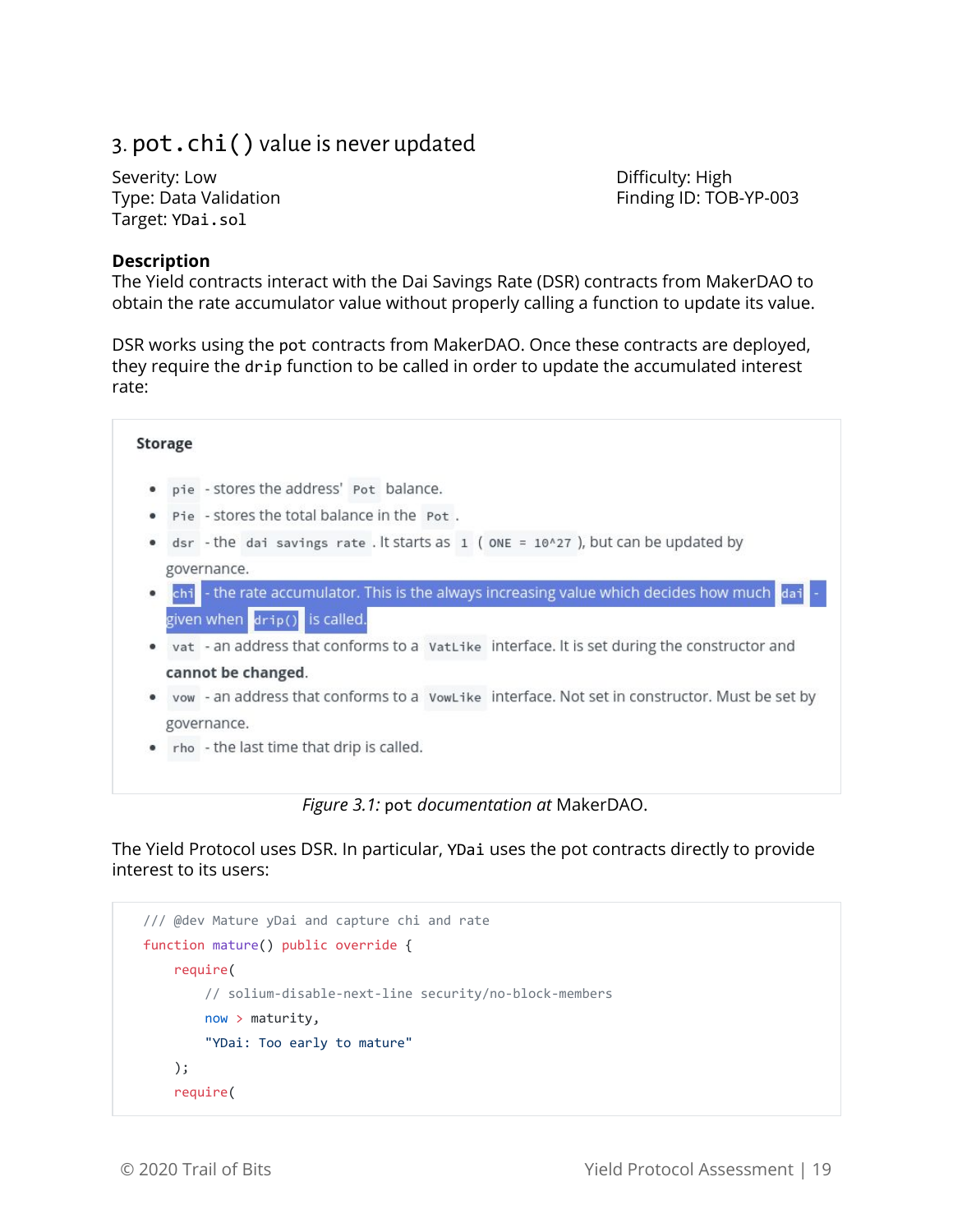# <span id="page-19-0"></span>3. pot.chi() value is never updated

Severity: Low **Difficulty: High** Target: YDai.sol

Type: Data Validation Finding ID: TOB-YP-003

#### **Description**

The Yield contracts interact with the Dai Savings Rate (DSR) contracts from MakerDAO to obtain the rate accumulator value without properly calling a function to update its value.

DSR works using the pot contracts from MakerDAO. Once these contracts are deployed, they require the drip function to be called in order to update the accumulated interest rate:



The Yield Protocol uses DSR. In particular, YDai uses the pot contracts directly to provide interest to its users:

```
 /// @dev Mature yDai and capture chi and rate
 function mature() public override {
     require(
         // solium-disable-next-line security/no-block-members
         now > maturity,
         "YDai: Too early to mature"
     );
     require(
```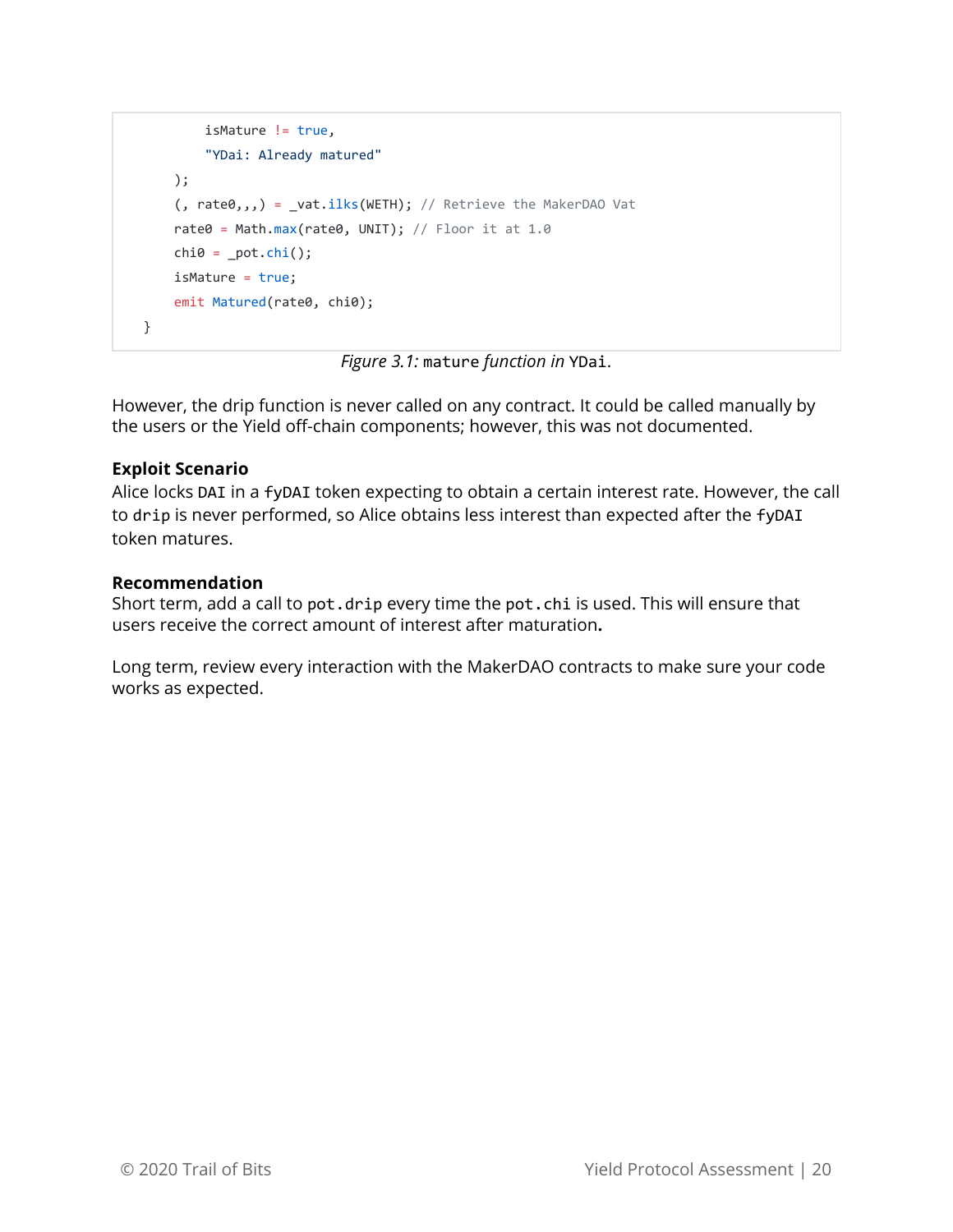```
 isMature != true,
         "YDai: Already matured"
     );
    (, rate(0, 1, 1) = _vat.ilks(WETH); // Retrieve the MakerDAO Vat
    rate0 = Math.max(rate0, UNIT); // Floor it at 1.0chi0 = \underline{pot.chi();} isMature = true;
     emit Matured(rate0, chi0);
 }
```
*Figure 3.1:* mature *function in* YDai.

However, the drip function is never called on any contract. It could be called manually by the users or the Yield off-chain components; however, this was not documented.

#### **Exploit Scenario**

Alice locks DAI in a fyDAI token expecting to obtain a certain interest rate. However, the call to drip is never performed, so Alice obtains less interest than expected after the fyDAI token matures.

#### **Recommendation**

Short term, add a call to pot.drip every time the pot.chi is used. This will ensure that users receive the correct amount of interest after maturation**.**

Long term, review every interaction with the MakerDAO contracts to make sure your code works as expected.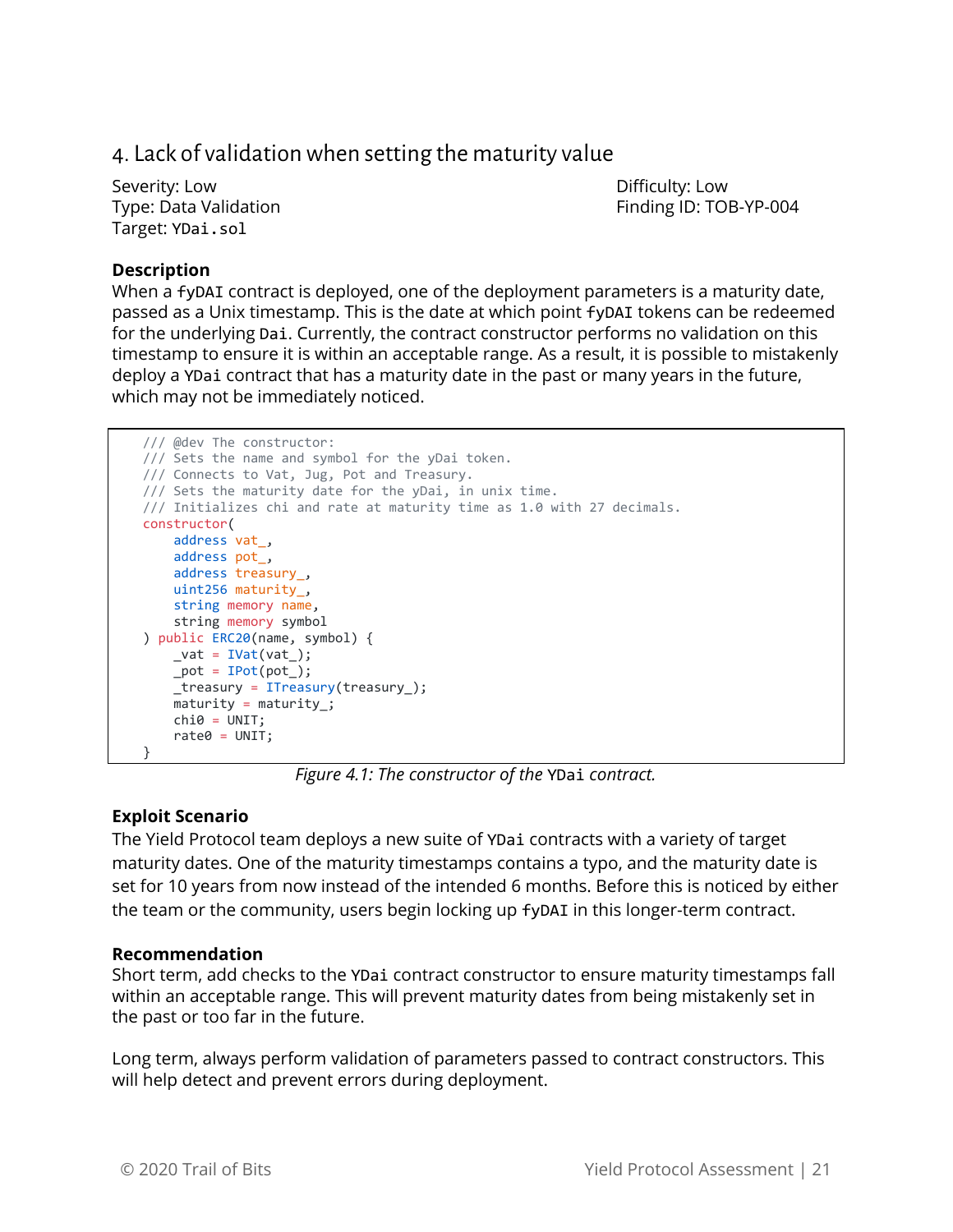### <span id="page-21-0"></span>4. Lack of validationwhen setting the maturity value

Severity: Low **Difficulty: Low** Target: YDai.sol

Type: Data Validation Finding ID: TOB-YP-004

#### **Description**

When a fyDAI contract is deployed, one of the deployment parameters is a maturity date, passed as a Unix timestamp. This is the date at which point fyDAI tokens can be redeemed for the underlying Dai. Currently, the contract constructor performs no validation on this timestamp to ensure it is within an acceptable range. As a result, it is possible to mistakenly deploy a YDai contract that has a maturity date in the past or many years in the future, which may not be immediately noticed.

```
 /// @dev The constructor:
 /// Sets the name and symbol for the yDai token.
 /// Connects to Vat, Jug, Pot and Treasury.
 /// Sets the maturity date for the yDai, in unix time.
 /// Initializes chi and rate at maturity time as 1.0 with 27 decimals.
 constructor(
    address vat_,
     address pot_,
     address treasury_,
     uint256 maturity_,
     string memory name,
    string memory symbol
 ) public ERC20(name, symbol) {
    \_\text{vat} = \text{IVat}(\text{vat}_\text{});
    pot = IPot(pot_;
     _treasury = ITreasury(treasury_);
    \overline{\mathsf{maturity}} = \mathsf{maturity};
    chi\theta = UNIT;rate0 = UNIT; }
```
*Figure 4.1: The constructor of the* YDai *contract.*

#### **Exploit Scenario**

The Yield Protocol team deploys a new suite of YDai contracts with a variety of target maturity dates. One of the maturity timestamps contains a typo, and the maturity date is set for 10 years from now instead of the intended 6 months. Before this is noticed by either the team or the community, users begin locking up fyDAI in this longer-term contract.

#### **Recommendation**

Short term, add checks to the YDai contract constructor to ensure maturity timestamps fall within an acceptable range. This will prevent maturity dates from being mistakenly set in the past or too far in the future.

Long term, always perform validation of parameters passed to contract constructors. This will help detect and prevent errors during deployment.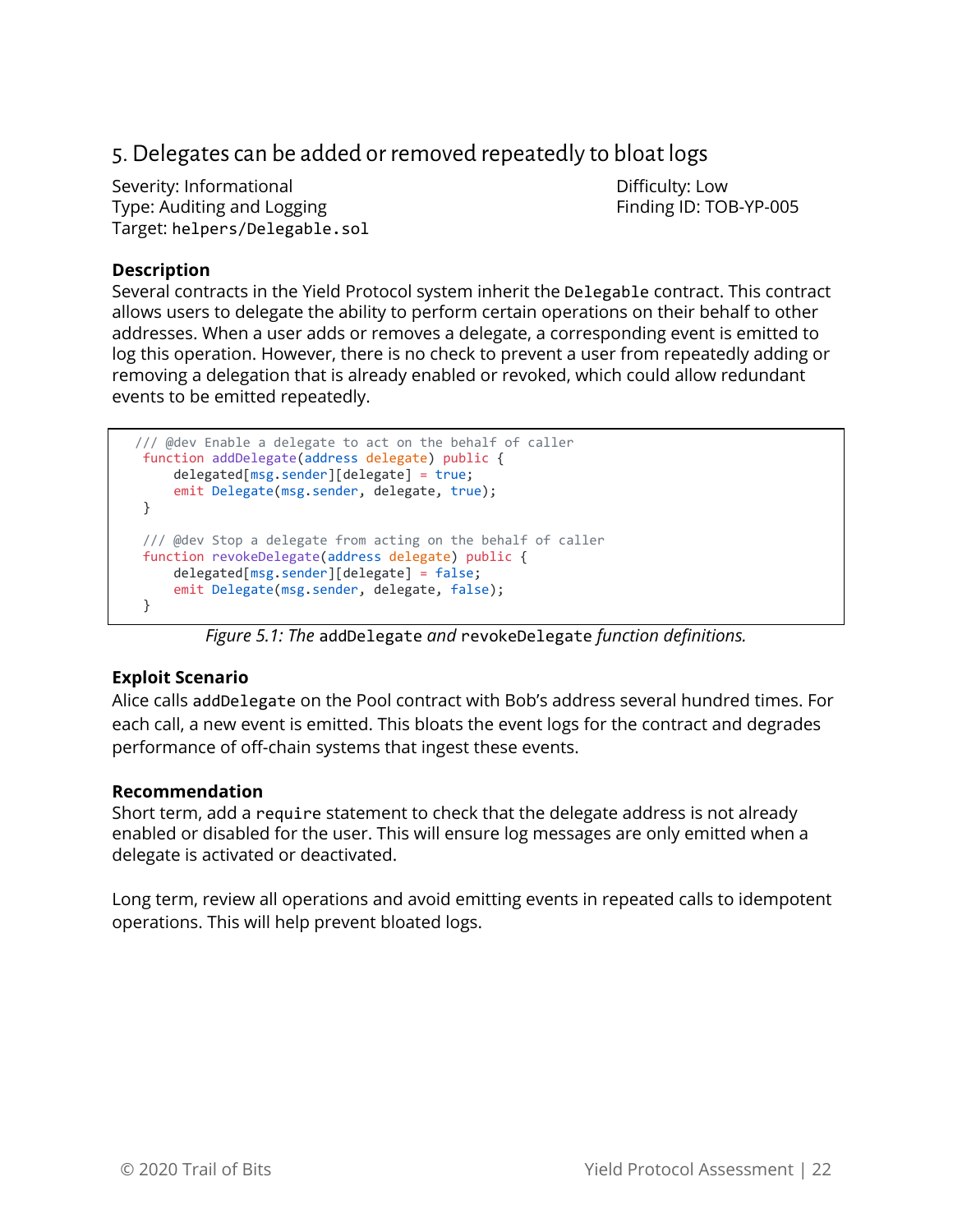# <span id="page-22-0"></span>5. Delegates can be added or removed repeatedly to bloat logs

Severity: Informational and Difficulty: Low Type: Auditing and Logging Finding ID: TOB-YP-005 Target: helpers/Delegable.sol

#### **Description**

Several contracts in the Yield Protocol system inherit the Delegable contract. This contract allows users to delegate the ability to perform certain operations on their behalf to other addresses. When a user adds or removes a delegate, a corresponding event is emitted to log this operation. However, there is no check to prevent a user from repeatedly adding or removing a delegation that is already enabled or revoked, which could allow redundant events to be emitted repeatedly.

```
 /// @dev Enable a delegate to act on the behalf of caller
 function addDelegate(address delegate) public {
     delegated[msg.sender][delegate] = true;
     emit Delegate(msg.sender, delegate, true);
 }
 /// @dev Stop a delegate from acting on the behalf of caller
 function revokeDelegate(address delegate) public {
     delegated[msg.sender][delegate] = false;
     emit Delegate(msg.sender, delegate, false);
 }
```
#### *Figure 5.1: The* addDelegate *and* revokeDelegate *function definitions.*

#### **Exploit Scenario**

Alice calls addDelegate on the Pool contract with Bob's address several hundred times. For each call, a new event is emitted. This bloats the event logs for the contract and degrades performance of off-chain systems that ingest these events.

#### **Recommendation**

Short term, add a require statement to check that the delegate address is not already enabled or disabled for the user. This will ensure log messages are only emitted when a delegate is activated or deactivated.

Long term, review all operations and avoid emitting events in repeated calls to idempotent operations. This will help prevent bloated logs.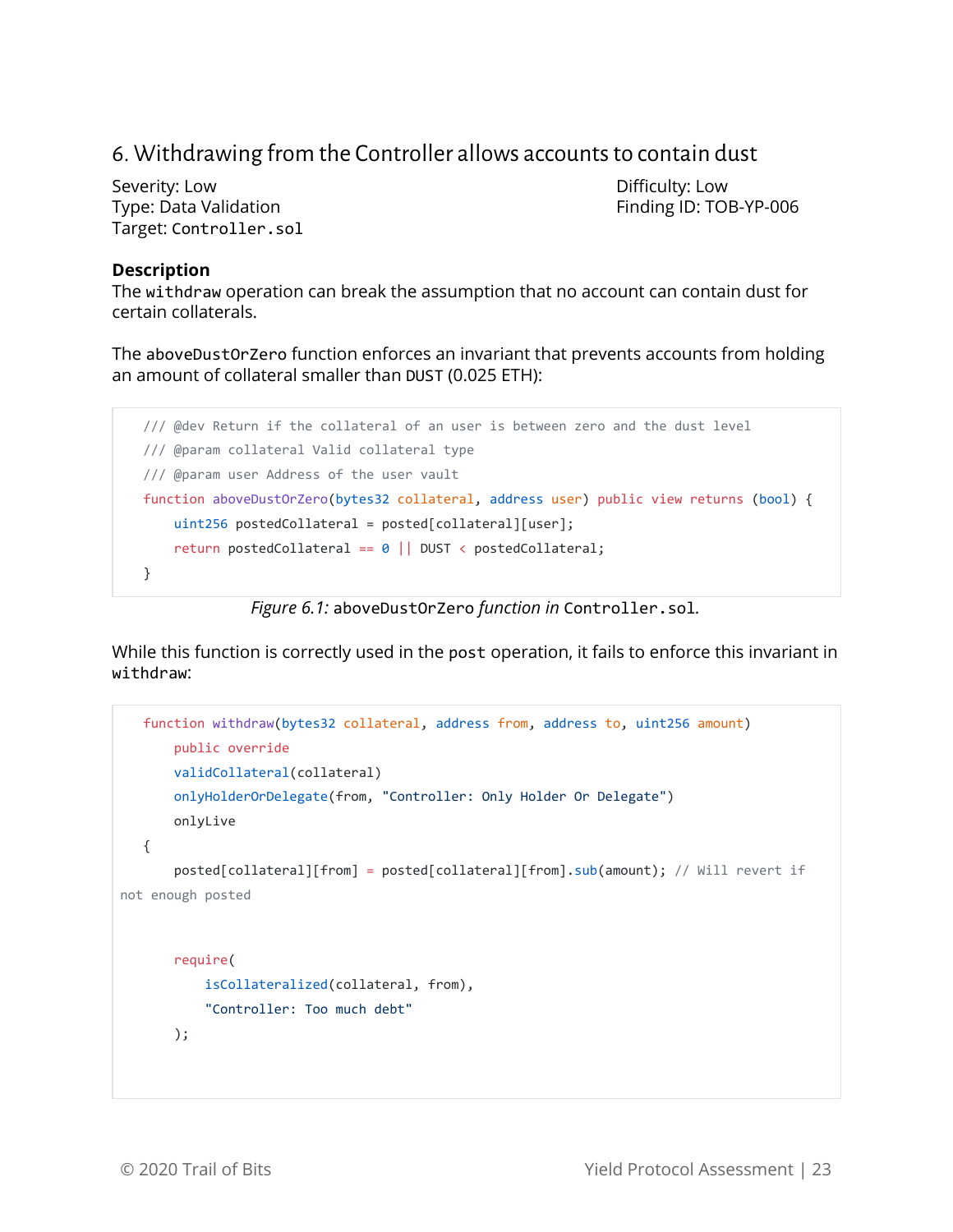# <span id="page-23-0"></span>6. Withdrawing from the Controller allows accounts to contain dust

Severity: Low **Difficulty: Low** Type: Data Validation Finding ID: TOB-YP-006 Target: Controller.sol

#### **Description**

The withdraw operation can break the assumption that no account can contain dust for certain collaterals.

The aboveDustOrZero function enforces an invariant that prevents accounts from holding an amount of collateral smaller than DUST (0.025 ETH):

```
 /// @dev Return if the collateral of an user is between zero and the dust level
 /// @param collateral Valid collateral type
 /// @param user Address of the user vault
 function aboveDustOrZero(bytes32 collateral, address user) public view returns (bool) {
    uint256 postedCollateral = posted[collateral][user];
     return postedCollateral == 0 || DUST < postedCollateral;
 }
```
*Figure 6.1:* aboveDustOrZero *function in* Controller.sol*.*

While this function is correctly used in the post operation, it fails to enforce this invariant in withdraw:

```
 function withdraw(bytes32 collateral, address from, address to, uint256 amount)
        public override
        validCollateral(collateral)
        onlyHolderOrDelegate(from, "Controller: Only Holder Or Delegate")
       onlyLive
    {
        posted[collateral][from] = posted[collateral][from].sub(amount); // Will revert if
not enough posted
        require(
            isCollateralized(collateral, from),
            "Controller: Too much debt"
        );
```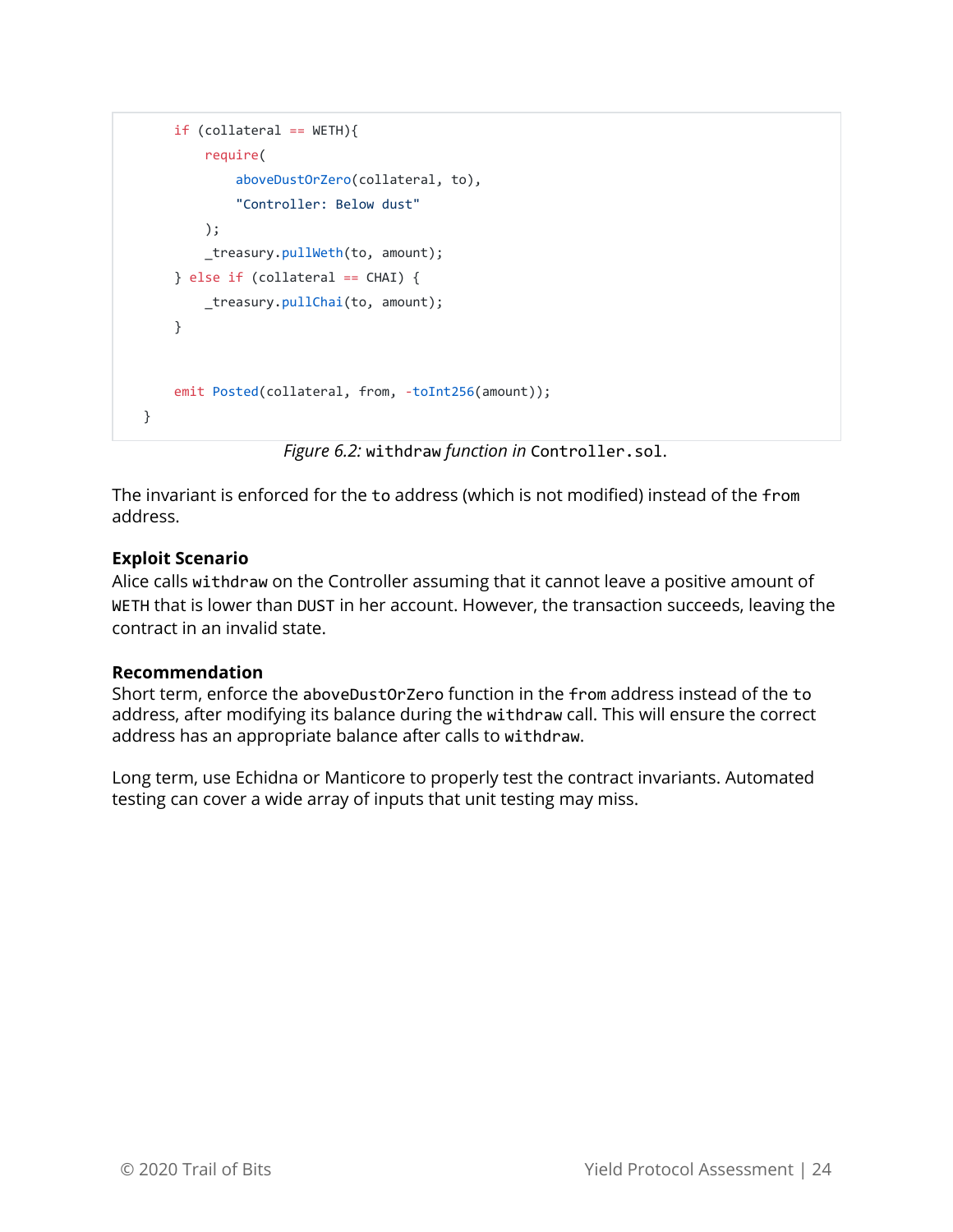```
if (collateral == WETH) require(
             aboveDustOrZero(collateral, to),
             "Controller: Below dust"
         );
         _treasury.pullWeth(to, amount);
     } else if (collateral == CHAI) {
         _treasury.pullChai(to, amount);
     }
   emit Posted(collateral, from, -toInt256(amount));
 }
```
*Figure 6.2:* withdraw *function in* Controller.sol.

The invariant is enforced for the to address (which is not modified) instead of the from address.

#### **Exploit Scenario**

Alice calls withdraw on the Controller assuming that it cannot leave a positive amount of WETH that is lower than DUST in her account. However, the transaction succeeds, leaving the contract in an invalid state.

#### **Recommendation**

Short term, enforce the aboveDustOrZero function in the from address instead of the to address, after modifying its balance during the withdraw call. This will ensure the correct address has an appropriate balance after calls to withdraw.

Long term, use Echidna or Manticore to properly test the contract invariants. Automated testing can cover a wide array of inputs that unit testing may miss.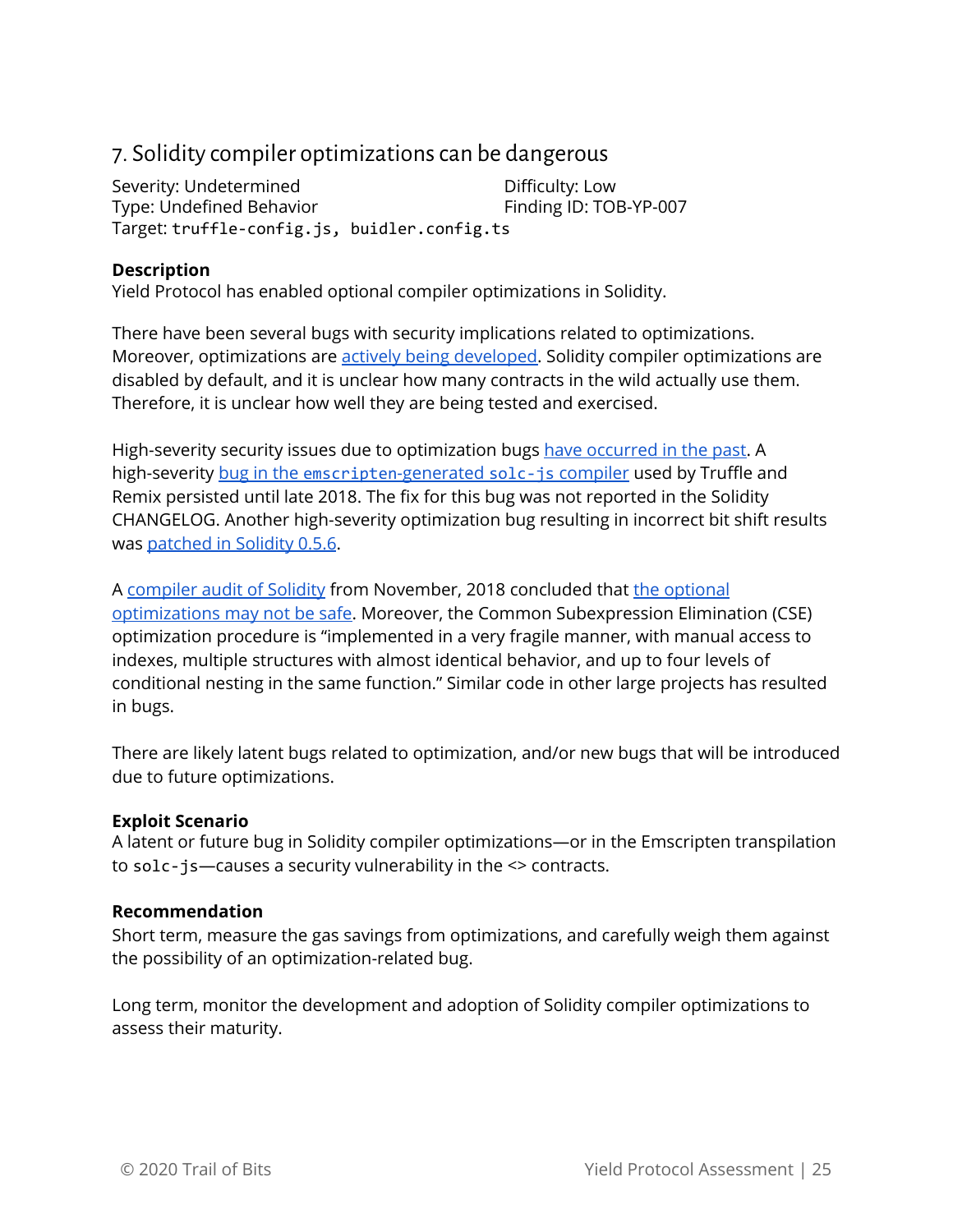# <span id="page-25-0"></span>7. Solidity compiler optimizationscan be dangerous

Severity: Undetermined Difficulty: Low Type: Undefined Behavior Finding ID: TOB-YP-007 Target: truffle-config.js, buidler.config.ts

#### **Description**

Yield Protocol has enabled optional compiler optimizations in Solidity.

There have been several bugs with security implications related to optimizations. Moreover, optimizations are **actively being developed**. Solidity compiler optimizations are disabled by default, and it is unclear how many contracts in the wild actually use them. Therefore, it is unclear how well they are being tested and exercised.

High-severity security issues due to optimization bugs have [occurred](https://solidity.readthedocs.io/en/v0.7.0/bugs.html) in the past. A high-severity [bug](https://docs.google.com/document/d/1PZBSCBWBwd6AqWCgXqLnw8FNQ4HRurP5usrXuKuU0a0/edit#heading=h.csz7fns3yza3) in the [emscripten](https://docs.google.com/document/d/1PZBSCBWBwd6AqWCgXqLnw8FNQ4HRurP5usrXuKuU0a0/edit#heading=h.csz7fns3yza3)[-generated](https://docs.google.com/document/d/1PZBSCBWBwd6AqWCgXqLnw8FNQ4HRurP5usrXuKuU0a0/edit#heading=h.csz7fns3yza3) [solc-js](https://docs.google.com/document/d/1PZBSCBWBwd6AqWCgXqLnw8FNQ4HRurP5usrXuKuU0a0/edit#heading=h.csz7fns3yza3) [compiler](https://docs.google.com/document/d/1PZBSCBWBwd6AqWCgXqLnw8FNQ4HRurP5usrXuKuU0a0/edit#heading=h.csz7fns3yza3) used by Truffle and Remix persisted until late 2018. The fix for this bug was not reported in the Solidity CHANGELOG. Another high-severity optimization bug resulting in incorrect bit shift results was [patched](https://github.com/ethereum/solidity/releases/tag/v0.5.6) in Solidity 0.5.6.

A [compiler](https://blog.zeppelin.solutions/solidity-compiler-audit-8cfc0316a420) audit of Solidity from November, 2018 concluded that the [optional](https://docs.google.com/document/d/1PZBSCBWBwd6AqWCgXqLnw8FNQ4HRurP5usrXuKuU0a0/edit#heading=h.l6fakub3mvnn) [optimizations](https://docs.google.com/document/d/1PZBSCBWBwd6AqWCgXqLnw8FNQ4HRurP5usrXuKuU0a0/edit#heading=h.l6fakub3mvnn) may not be safe. Moreover, the Common Subexpression Elimination (CSE) optimization procedure is "implemented in a very fragile manner, with manual access to indexes, multiple structures with almost identical behavior, and up to four levels of conditional nesting in the same function." Similar code in other large projects has resulted in bugs.

There are likely latent bugs related to optimization, and/or new bugs that will be introduced due to future optimizations.

#### **Exploit Scenario**

A latent or future bug in Solidity compiler optimizations—or in the Emscripten transpilation to solc-js—causes a security vulnerability in the <> contracts.

#### **Recommendation**

Short term, measure the gas savings from optimizations, and carefully weigh them against the possibility of an optimization-related bug.

Long term, monitor the development and adoption of Solidity compiler optimizations to assess their maturity.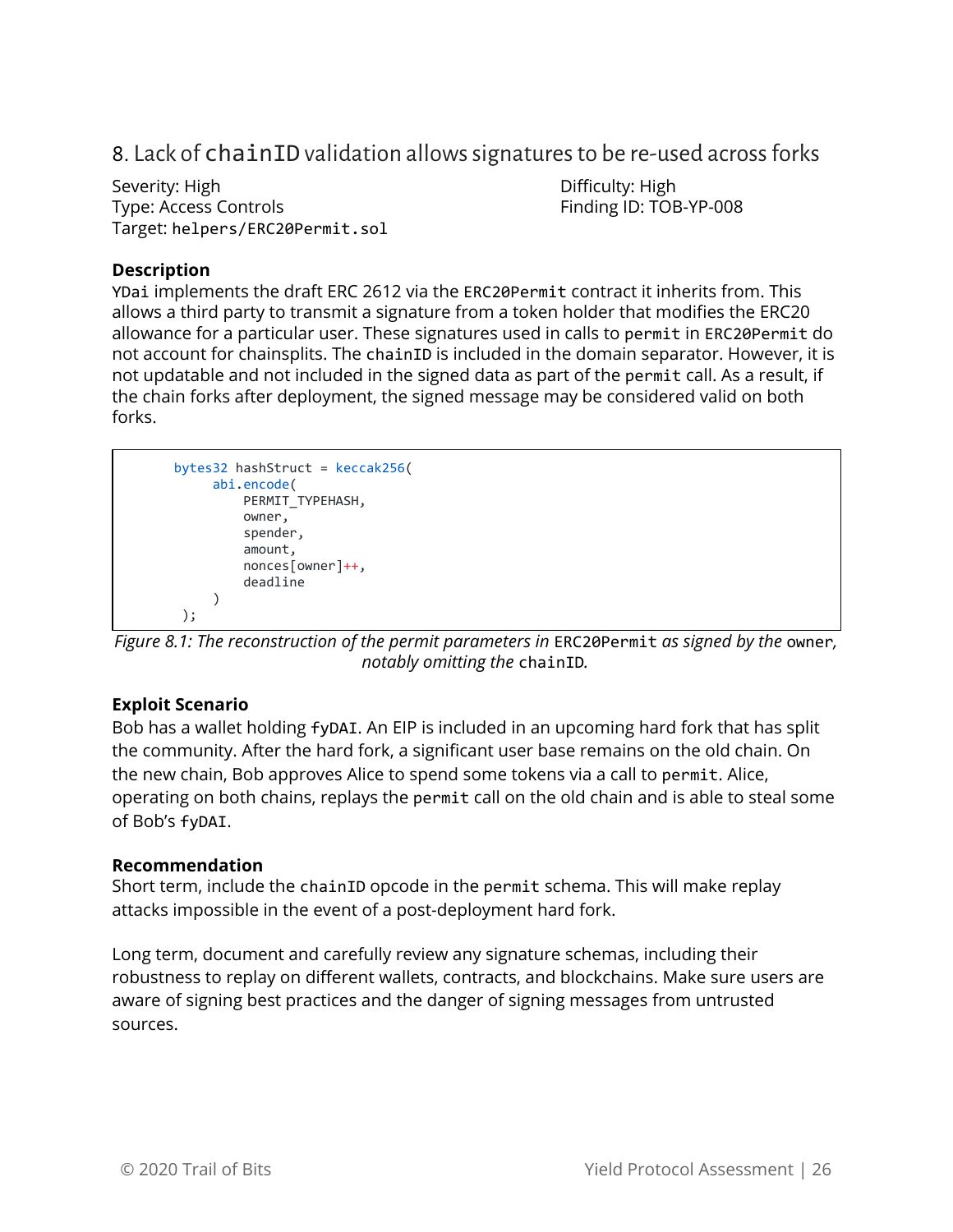### <span id="page-26-0"></span>8. Lack of chainID validation allows signatures to be re-used across forks

Severity: High **Difficulty: High** Type: Access Controls Finding ID: TOB-YP-008 Target: helpers/ERC20Permit.sol

#### **Description**

YDai implements the draft ERC 2612 via the ERC20Permit contract it inherits from. This allows a third party to transmit a signature from a token holder that modifies the ERC20 allowance for a particular user. These signatures used in calls to permit in ERC20Permit do not account for chainsplits. The chainID is included in the domain separator. However, it is not updatable and not included in the signed data as part of the permit call. As a result, if the chain forks after deployment, the signed message may be considered valid on both forks.

```
 bytes32 hashStruct = keccak256(
            abi.encode(
               PERMIT_TYPEHASH,
                owner,
                spender,
                amount,
                nonces[owner]++,
                deadline
) );
```
*Figure 8.1: The reconstruction of the permit parameters in* ERC20Permit *as signed by the* owner*, notably omitting the* chainID*.*

#### **Exploit Scenario**

Bob has a wallet holding fyDAI. An EIP is included in an upcoming hard fork that has split the community. After the hard fork, a significant user base remains on the old chain. On the new chain, Bob approves Alice to spend some tokens via a call to permit. Alice, operating on both chains, replays the permit call on the old chain and is able to steal some of Bob's fyDAI.

#### **Recommendation**

Short term, include the chainID opcode in the permit schema. This will make replay attacks impossible in the event of a post-deployment hard fork.

Long term, document and carefully review any signature schemas, including their robustness to replay on different wallets, contracts, and blockchains. Make sure users are aware of signing best practices and the danger of signing messages from untrusted sources.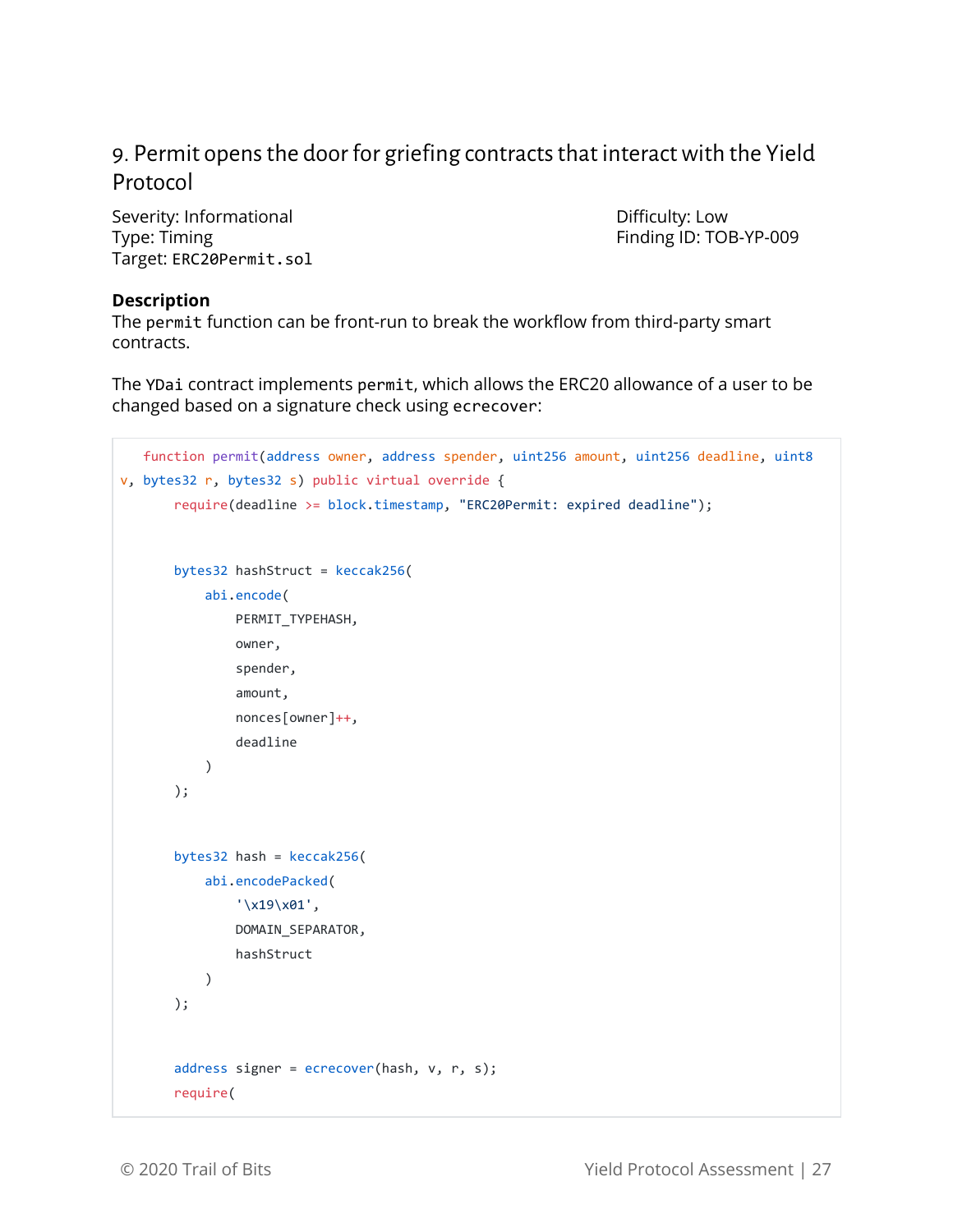# <span id="page-27-0"></span>9. Permit opens the door for griefing contracts that interact with the Yield Protocol

Severity: Informational and Difficulty: Low Type: Timing Type: Timing Type: Timing ID: TOB-YP-009 Target: ERC20Permit.sol

#### **Description**

The permit function can be front-run to break the workflow from third-party smart contracts.

The YDai contract implements permit, which allows the ERC20 allowance of a user to be changed based on a signature check using ecrecover:

```
 function permit(address owner, address spender, uint256 amount, uint256 deadline, uint8
v, bytes32 r, bytes32 s) public virtual override {
        require(deadline >= block.timestamp, "ERC20Permit: expired deadline");
        bytes32 hashStruct = keccak256(
            abi.encode(
                PERMIT_TYPEHASH,
                 owner,
                 spender,
                 amount,
                 nonces[owner]++,
                 deadline
           \lambda );
        bytes32 hash = keccak256(
            abi.encodePacked(
                 '\x19\x01',
                 DOMAIN_SEPARATOR,
                hashStruct
            )
        );
        address signer = ecrecover(hash, v, r, s);
        require(
```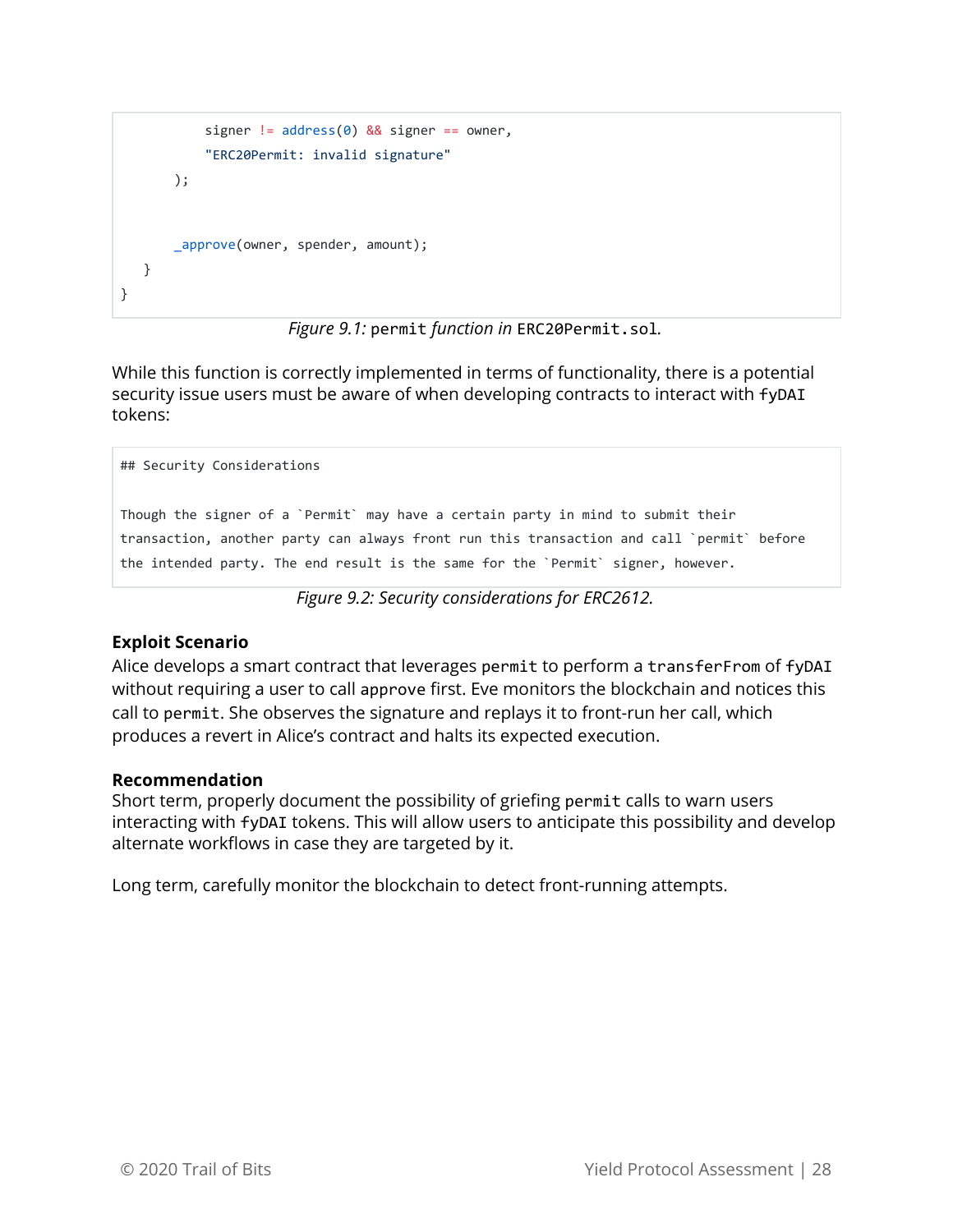```
signer != address(0) && signer == owner,
            "ERC20Permit: invalid signature"
        );
        _approve(owner, spender, amount);
   }
}
```


While this function is correctly implemented in terms of functionality, there is a potential security issue users must be aware of when developing contracts to interact with fyDAI tokens:

```
Though the signer of a `Permit` may have a certain party in mind to submit their
transaction, another party can always front run this transaction and call `permit` before
the intended party. The end result is the same for the `Permit` signer, however.
```
*Figure 9.2: Security considerations for ERC2612.*

#### **Exploit Scenario**

## Security Considerations

Alice develops a smart contract that leverages permit to perform a transferFrom of fyDAI without requiring a user to call approve first. Eve monitors the blockchain and notices this call to permit. She observes the signature and replays it to front-run her call, which produces a revert in Alice's contract and halts its expected execution.

#### **Recommendation**

Short term, properly document the possibility of griefing permit calls to warn users interacting with fyDAI tokens. This will allow users to anticipate this possibility and develop alternate workflows in case they are targeted by it.

Long term, carefully monitor the blockchain to detect front-running attempts.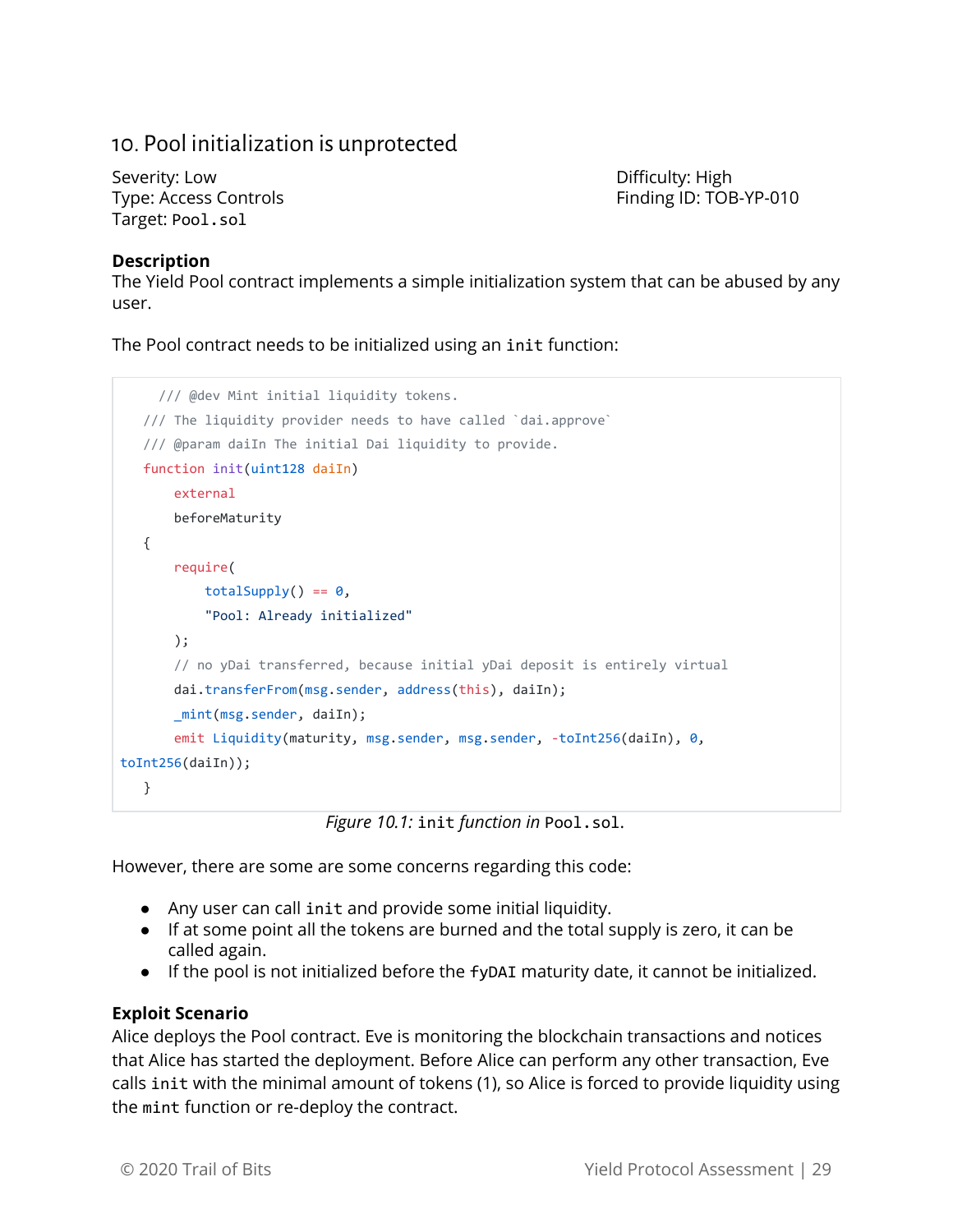### <span id="page-29-0"></span>10. Pool initialization is unprotected

Severity: Low **Difficulty: High** Target: Pool.sol

Type: Access Controls Finding ID: TOB-YP-010

#### **Description**

The Yield Pool contract implements a simple initialization system that can be abused by any user.

The Pool contract needs to be initialized using an init function:

```
 /// @dev Mint initial liquidity tokens.
   /// The liquidity provider needs to have called `dai.approve`
   /// @param daiIn The initial Dai liquidity to provide.
   function init(uint128 daiIn)
       external
       beforeMaturity
   {
       require(
           totalSupply() == 0, "Pool: Already initialized"
       );
        // no yDai transferred, because initial yDai deposit is entirely virtual
        dai.transferFrom(msg.sender, address(this), daiIn);
       mint(msg.sender, daiIn);
       emit Liquidity(maturity, msg.sender, msg.sender, -toInt256(daiIn), 0,
toInt256(daiIn));
   }
```
*Figure 10.1:* init *function in* Pool.sol.

However, there are some are some concerns regarding this code:

- Any user can call init and provide some initial liquidity.
- If at some point all the tokens are burned and the total supply is zero, it can be called again.
- If the pool is not initialized before the fyDAI maturity date, it cannot be initialized.

#### **Exploit Scenario**

Alice deploys the Pool contract. Eve is monitoring the blockchain transactions and notices that Alice has started the deployment. Before Alice can perform any other transaction, Eve calls init with the minimal amount of tokens (1), so Alice is forced to provide liquidity using the mint function or re-deploy the contract.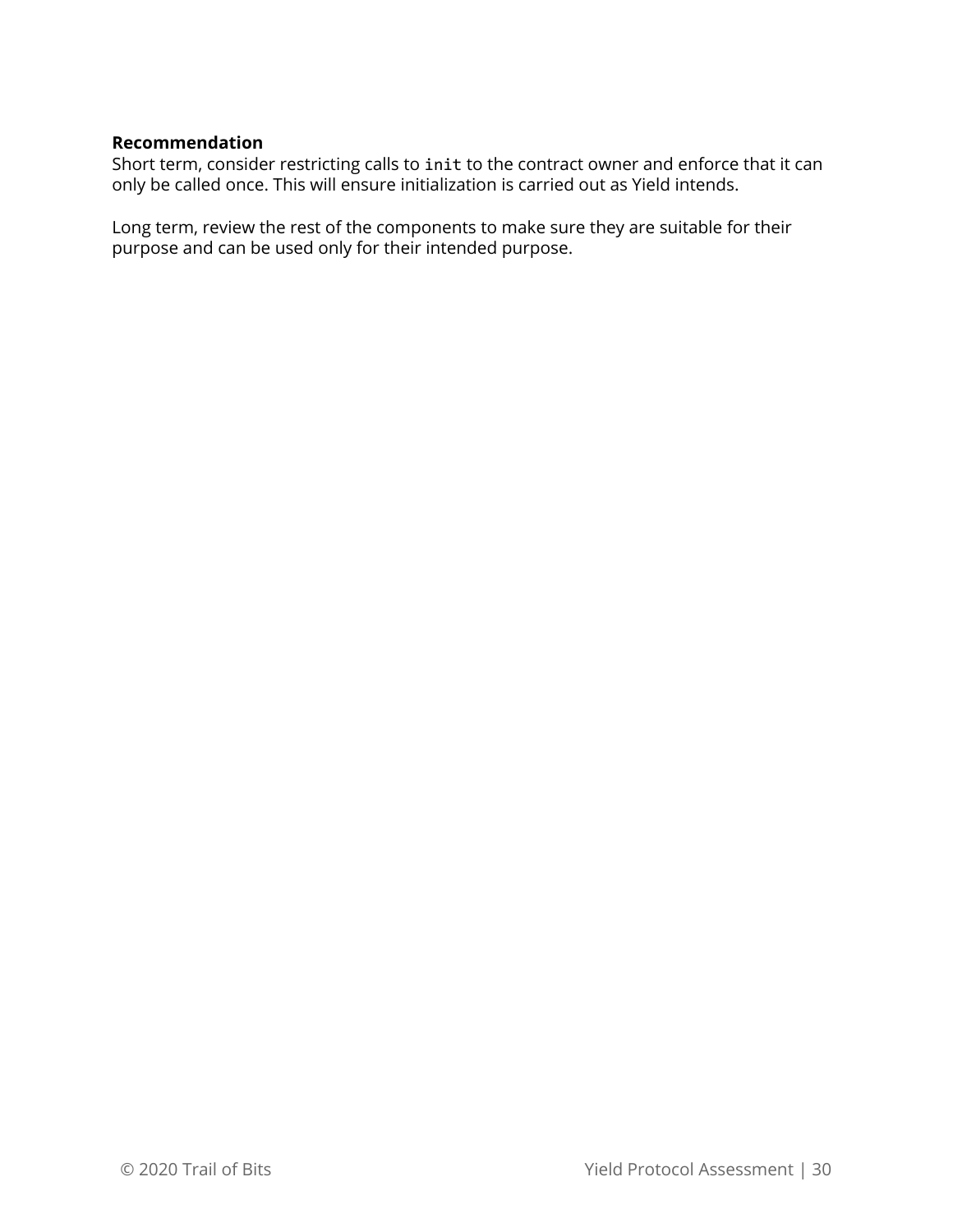#### **Recommendation**

Short term, consider restricting calls to init to the contract owner and enforce that it can only be called once. This will ensure initialization is carried out as Yield intends.

Long term, review the rest of the components to make sure they are suitable for their purpose and can be used only for their intended purpose.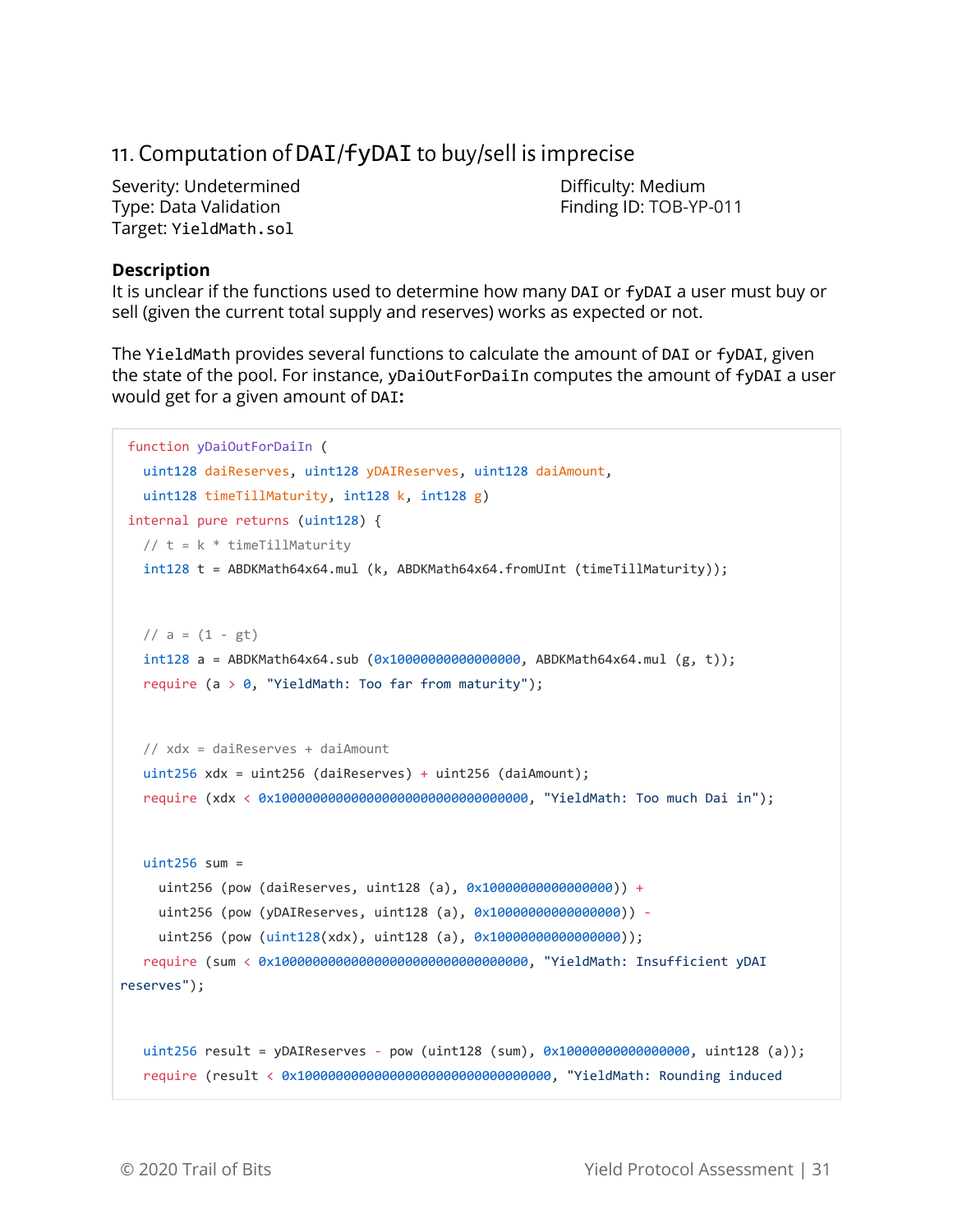# <span id="page-31-0"></span>11. Computation of DAI/fyDAI to buy/sell isimprecise

Severity: Undetermined **Difficulty: Medium** Type: Data Validation Finding ID: TOB-YP-011 Target: YieldMath.sol

#### **Description**

It is unclear if the functions used to determine how many DAI or fyDAI a user must buy or sell (given the current total supply and reserves) works as expected or not.

The YieldMath provides several functions to calculate the amount of DAI or fyDAI, given the state of the pool. For instance, yDaiOutForDaiIn computes the amount of fyDAI a user would get for a given amount of DAI**:**

```
function yDaiOutForDaiIn (
   uint128 daiReserves, uint128 yDAIReserves, uint128 daiAmount,
   uint128 timeTillMaturity, int128 k, int128 g)
internal pure returns (uint128) {
  // t = k * timeTillMaturity int128 t = ABDKMath64x64.mul (k, ABDKMath64x64.fromUInt (timeTillMaturity));
  // a = (1 - gt)int128 a = ABDKMath64x64.sub (0x10000000000000000, ABDKMath64x64.mul (g, t));
  require (a > 0, "YieldMath: Too far from maturity");
   // xdx = daiReserves + daiAmount
   uint256 xdx = uint256 (daiReserves) + uint256 (daiAmount);
   require (xdx < 0x100000000000000000000000000000000, "YieldMath: Too much Dai in");
  uint256 sum =
     uint256 (pow (daiReserves, uint128 (a), 0x10000000000000000)) +
     uint256 (pow (yDAIReserves, uint128 (a), 0x10000000000000000)) -
    uint256 (pow (uint128(xdx), uint128 (a), 0x1000000000000000000));
   require (sum < 0x100000000000000000000000000000000, "YieldMath: Insufficient yDAI
reserves");
   uint256 result = yDAIReserves - pow (uint128 (sum), 0x10000000000000000, uint128 (a));
   require (result < 0x100000000000000000000000000000000, "YieldMath: Rounding induced
```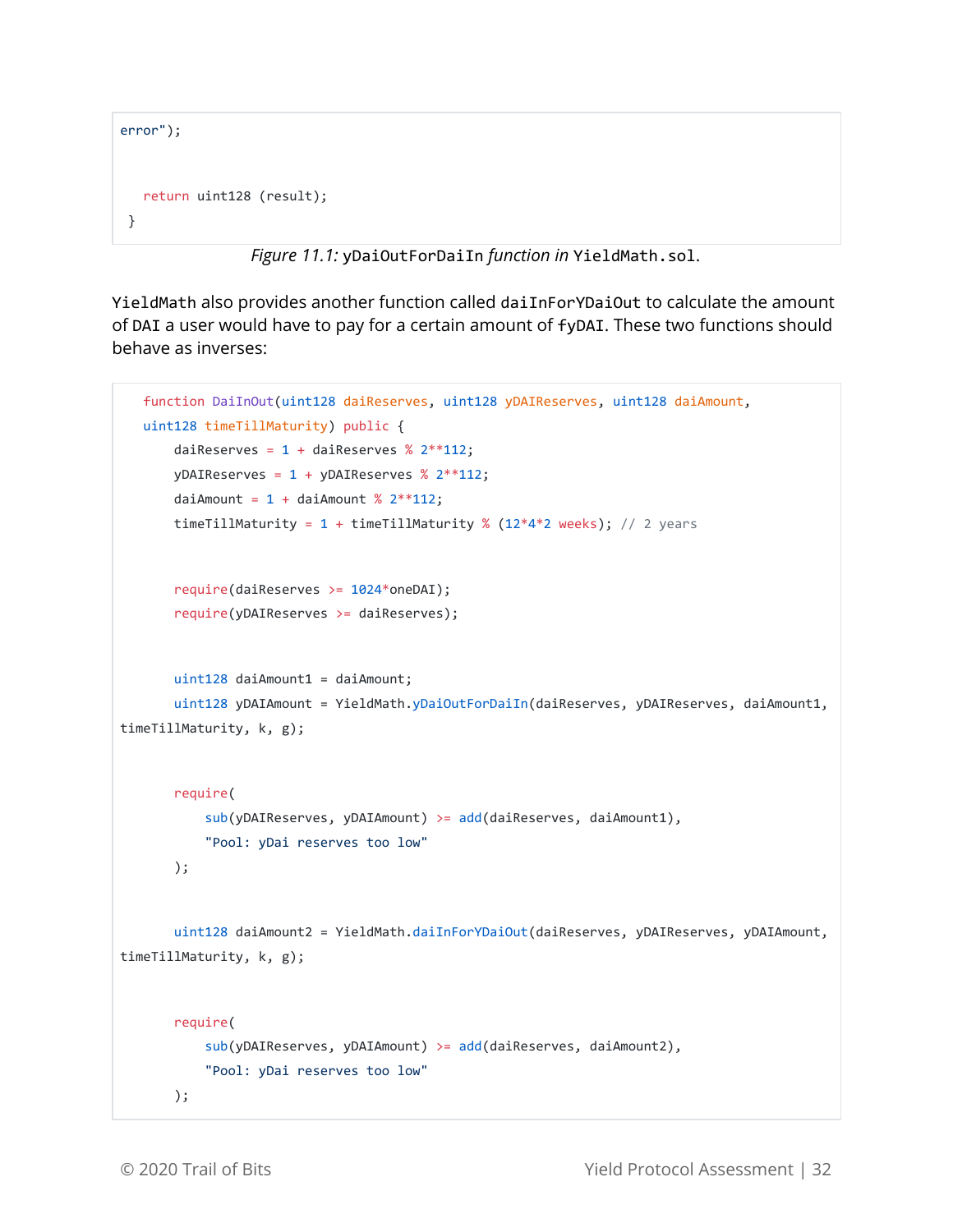```
error");
    return uint128 (result);
 }
```
*Figure 11.1:* yDaiOutForDaiIn *function in* YieldMath.sol.

YieldMath also provides another function called daiInForYDaiOut to calculate the amount of DAI a user would have to pay for a certain amount of fyDAI. These two functions should behave as inverses:

```
 function DaiInOut(uint128 daiReserves, uint128 yDAIReserves, uint128 daiAmount,
    uint128 timeTillMaturity) public {
       daiReserves = 1 + daiReserves % 2^{**}112;
       yDAIReserves = 1 + yDAIReserves % 2**112;
       daiAmount = 1 + daiAmount % 2^{**}112;
       timeTillMaturity = 1 + timeTillMaturity % (12*4*2 weeks); // 2 years
        require(daiReserves >= 1024*oneDAI);
        require(yDAIReserves >= daiReserves);
       uint128 daiAmount1 = daiAmount;
        uint128 yDAIAmount = YieldMath.yDaiOutForDaiIn(daiReserves, yDAIReserves, daiAmount1,
timeTillMaturity, k, g);
        require(
            sub(yDAIReserves, yDAIAmount) >= add(daiReserves, daiAmount1),
            "Pool: yDai reserves too low"
        );
        uint128 daiAmount2 = YieldMath.daiInForYDaiOut(daiReserves, yDAIReserves, yDAIAmount,
timeTillMaturity, k, g);
        require(
            sub(yDAIReserves, yDAIAmount) >= add(daiReserves, daiAmount2),
            "Pool: yDai reserves too low"
        );
```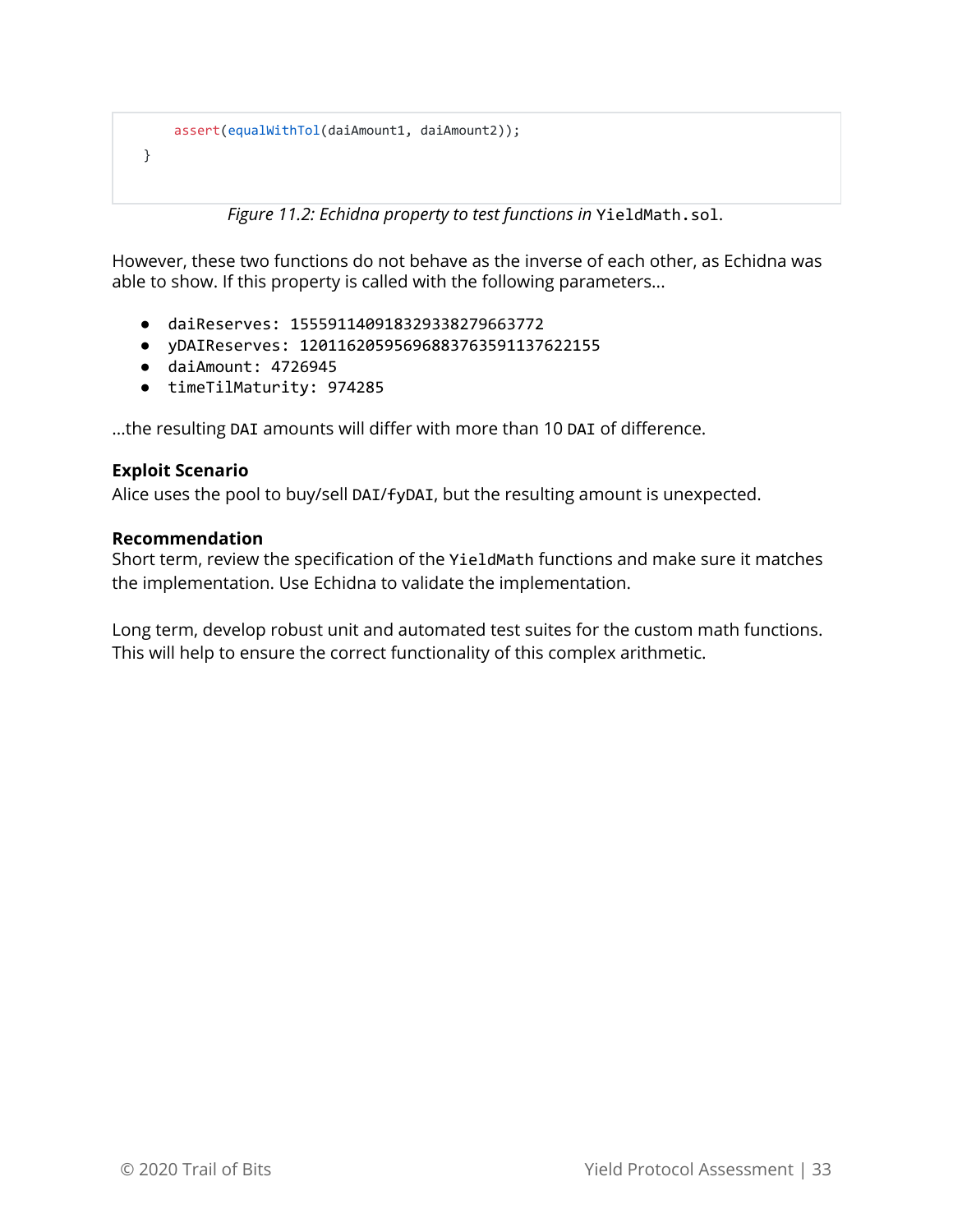```
 assert(equalWithTol(daiAmount1, daiAmount2));
 }
```
*Figure 11.2: Echidna property to test functions in* YieldMath.sol.

However, these two functions do not behave as the inverse of each other, as Echidna was able to show. If this property is called with the following parameters...

- daiReserves: 155591140918329338279663772
- yDAIReserves: 12011620595696883763591137622155
- daiAmount: 4726945
- timeTilMaturity: 974285

...the resulting DAI amounts will differ with more than 10 DAI of difference.

#### **Exploit Scenario**

Alice uses the pool to buy/sell DAI/fyDAI, but the resulting amount is unexpected.

#### **Recommendation**

Short term, review the specification of the YieldMath functions and make sure it matches the implementation. Use Echidna to validate the implementation.

Long term, develop robust unit and automated test suites for the custom math functions. This will help to ensure the correct functionality of this complex arithmetic.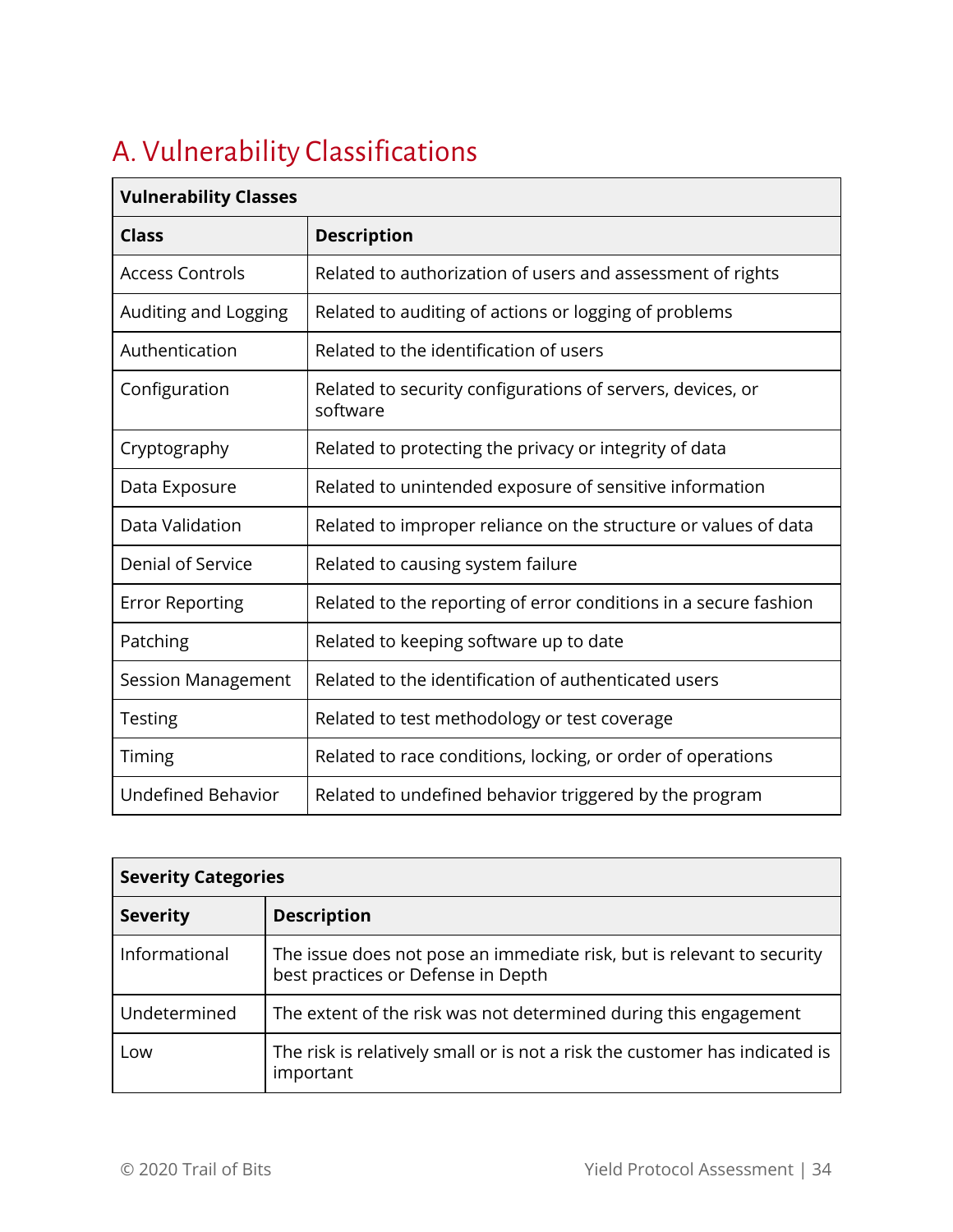# <span id="page-34-0"></span>A. Vulnerability Classifications

| <b>Vulnerability Classes</b> |                                                                        |  |
|------------------------------|------------------------------------------------------------------------|--|
| <b>Class</b>                 | <b>Description</b>                                                     |  |
| <b>Access Controls</b>       | Related to authorization of users and assessment of rights             |  |
| Auditing and Logging         | Related to auditing of actions or logging of problems                  |  |
| Authentication               | Related to the identification of users                                 |  |
| Configuration                | Related to security configurations of servers, devices, or<br>software |  |
| Cryptography                 | Related to protecting the privacy or integrity of data                 |  |
| Data Exposure                | Related to unintended exposure of sensitive information                |  |
| Data Validation              | Related to improper reliance on the structure or values of data        |  |
| Denial of Service            | Related to causing system failure                                      |  |
| <b>Error Reporting</b>       | Related to the reporting of error conditions in a secure fashion       |  |
| Patching                     | Related to keeping software up to date                                 |  |
| Session Management           | Related to the identification of authenticated users                   |  |
| <b>Testing</b>               | Related to test methodology or test coverage                           |  |
| Timing                       | Related to race conditions, locking, or order of operations            |  |
| <b>Undefined Behavior</b>    | Related to undefined behavior triggered by the program                 |  |

| <b>Severity Categories</b> |                                                                                                              |  |  |
|----------------------------|--------------------------------------------------------------------------------------------------------------|--|--|
| <b>Severity</b>            | <b>Description</b>                                                                                           |  |  |
| Informational              | The issue does not pose an immediate risk, but is relevant to security<br>best practices or Defense in Depth |  |  |
| Undetermined               | The extent of the risk was not determined during this engagement                                             |  |  |
| Low                        | The risk is relatively small or is not a risk the customer has indicated is<br>important                     |  |  |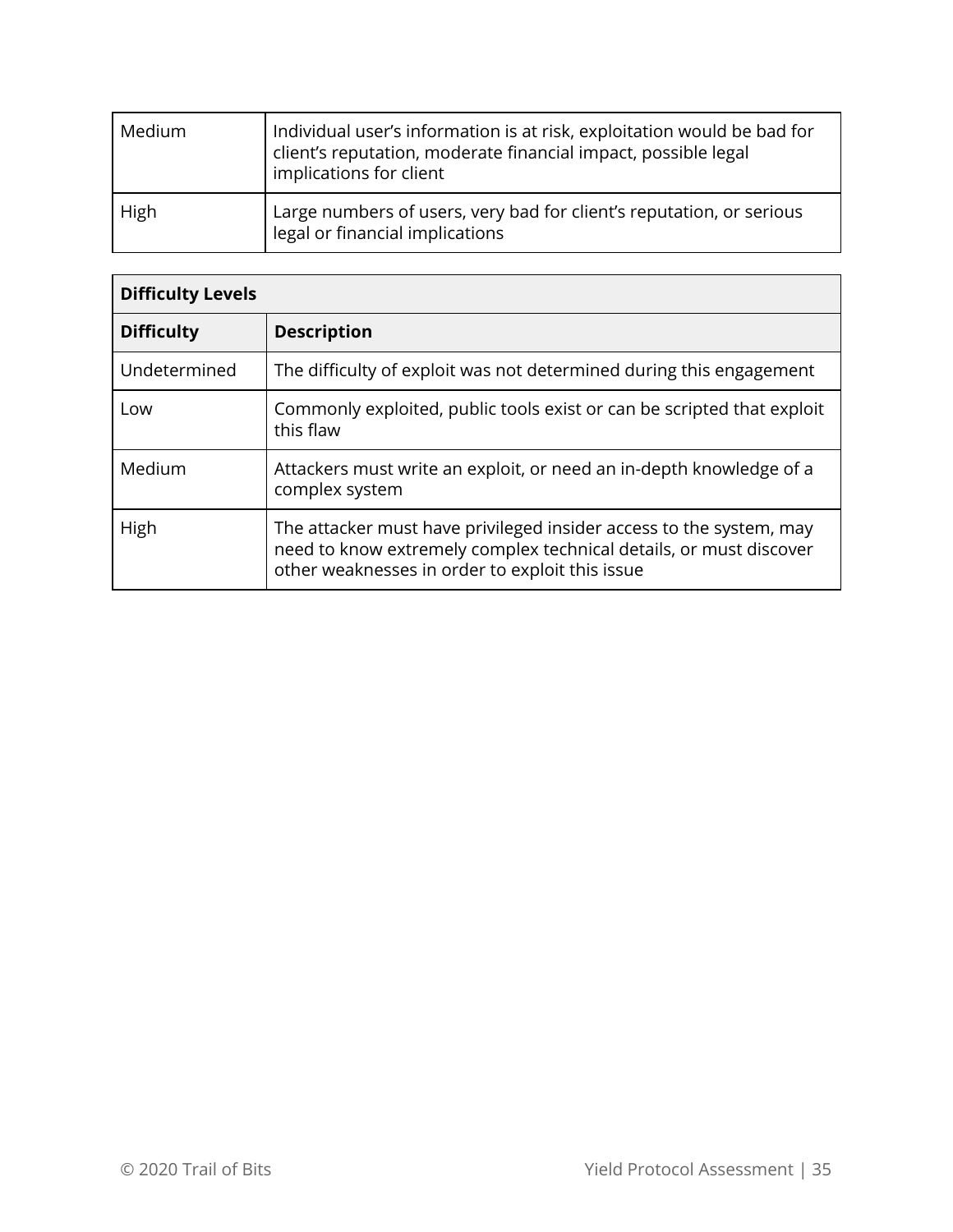| Medium | Individual user's information is at risk, exploitation would be bad for<br>client's reputation, moderate financial impact, possible legal<br>implications for client |
|--------|----------------------------------------------------------------------------------------------------------------------------------------------------------------------|
| High   | Large numbers of users, very bad for client's reputation, or serious<br>legal or financial implications                                                              |

| <b>Difficulty Levels</b> |                                                                                                                                                                                              |  |  |
|--------------------------|----------------------------------------------------------------------------------------------------------------------------------------------------------------------------------------------|--|--|
| <b>Difficulty</b>        | <b>Description</b>                                                                                                                                                                           |  |  |
| Undetermined             | The difficulty of exploit was not determined during this engagement                                                                                                                          |  |  |
| Low                      | Commonly exploited, public tools exist or can be scripted that exploit<br>this flaw                                                                                                          |  |  |
| Medium                   | Attackers must write an exploit, or need an in-depth knowledge of a<br>complex system                                                                                                        |  |  |
| High                     | The attacker must have privileged insider access to the system, may<br>need to know extremely complex technical details, or must discover<br>other weaknesses in order to exploit this issue |  |  |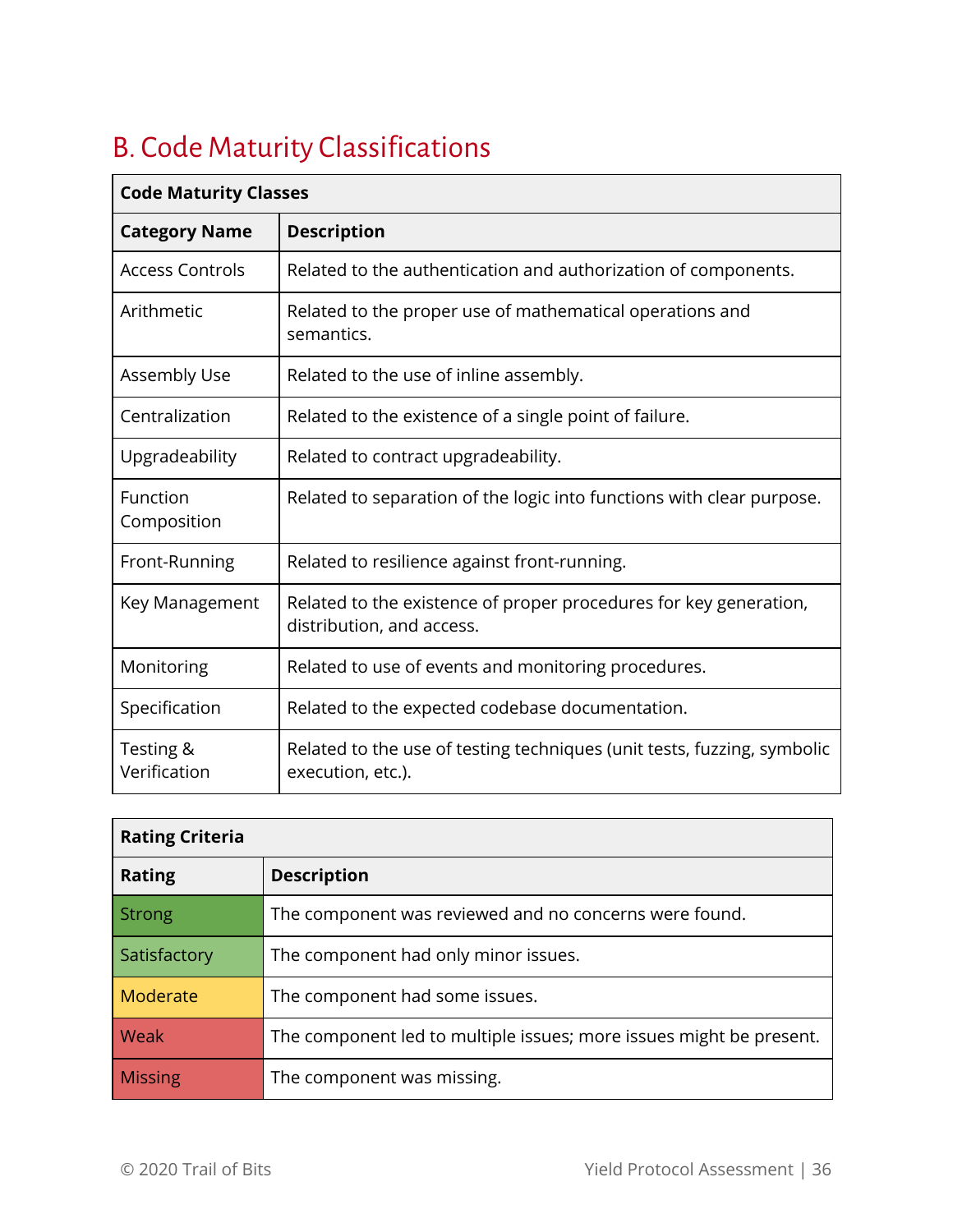# <span id="page-36-0"></span>B. Code Maturity Classifications

| <b>Code Maturity Classes</b> |                                                                                                |  |  |
|------------------------------|------------------------------------------------------------------------------------------------|--|--|
| <b>Category Name</b>         | <b>Description</b>                                                                             |  |  |
| <b>Access Controls</b>       | Related to the authentication and authorization of components.                                 |  |  |
| Arithmetic                   | Related to the proper use of mathematical operations and<br>semantics.                         |  |  |
| <b>Assembly Use</b>          | Related to the use of inline assembly.                                                         |  |  |
| Centralization               | Related to the existence of a single point of failure.                                         |  |  |
| Upgradeability               | Related to contract upgradeability.                                                            |  |  |
| Function<br>Composition      | Related to separation of the logic into functions with clear purpose.                          |  |  |
| Front-Running                | Related to resilience against front-running.                                                   |  |  |
| Key Management               | Related to the existence of proper procedures for key generation,<br>distribution, and access. |  |  |
| Monitoring                   | Related to use of events and monitoring procedures.                                            |  |  |
| Specification                | Related to the expected codebase documentation.                                                |  |  |
| Testing &<br>Verification    | Related to the use of testing techniques (unit tests, fuzzing, symbolic<br>execution, etc.).   |  |  |

| <b>Rating Criteria</b> |                                                                     |  |  |  |
|------------------------|---------------------------------------------------------------------|--|--|--|
| <b>Rating</b>          | <b>Description</b>                                                  |  |  |  |
| <b>Strong</b>          | The component was reviewed and no concerns were found.              |  |  |  |
| Satisfactory           | The component had only minor issues.                                |  |  |  |
| Moderate               | The component had some issues.                                      |  |  |  |
| Weak                   | The component led to multiple issues; more issues might be present. |  |  |  |
| <b>Missing</b>         | The component was missing.                                          |  |  |  |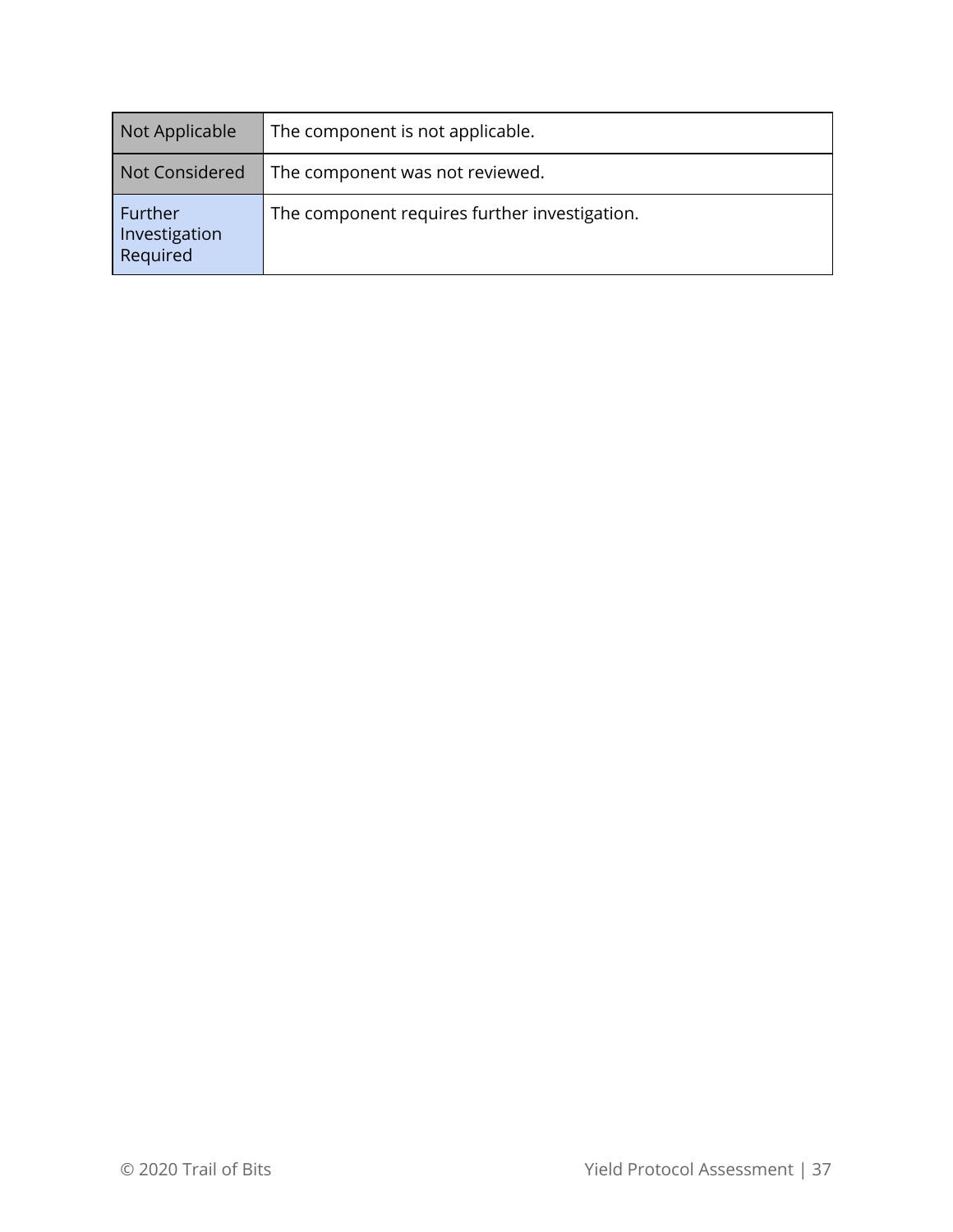| Not Applicable                       | The component is not applicable.              |  |
|--------------------------------------|-----------------------------------------------|--|
| Not Considered                       | The component was not reviewed.               |  |
| Further<br>Investigation<br>Required | The component requires further investigation. |  |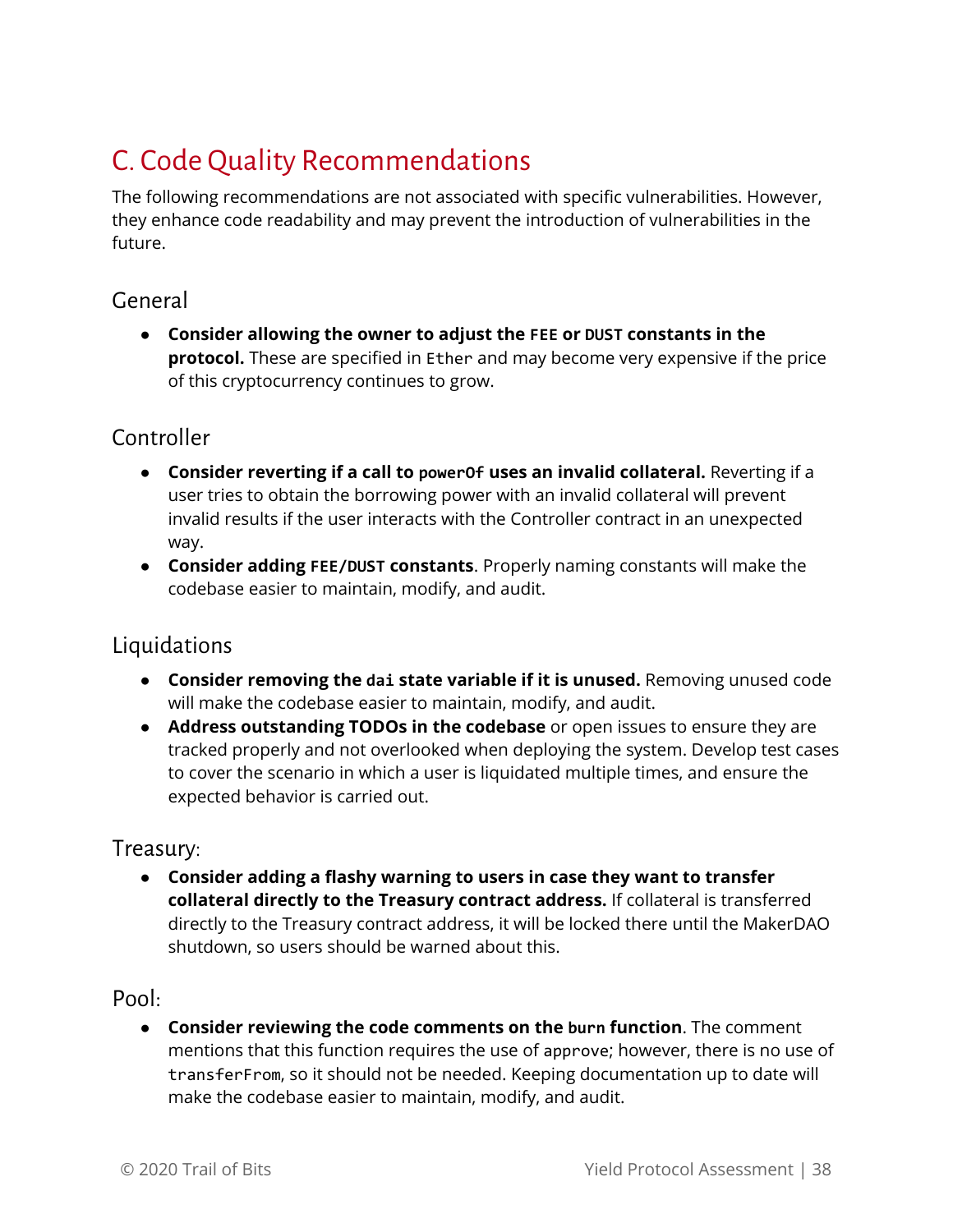# <span id="page-38-0"></span>C. Code Quality Recommendations

The following recommendations are not associated with specific vulnerabilities. However, they enhance code readability and may prevent the introduction of vulnerabilities in the future.

### <span id="page-38-1"></span>General

● **Consider allowing the owner to adjust the FEE or DUST constants in the protocol.** These are specified in Ether and may become very expensive if the price of this cryptocurrency continues to grow.

# <span id="page-38-2"></span>Controller

- **Consider reverting if a call to powerOf uses an invalid collateral.** Reverting if a user tries to obtain the borrowing power with an invalid collateral will prevent invalid results if the user interacts with the Controller contract in an unexpected way.
- **Consider adding FEE/DUST constants**. Properly naming constants will make the codebase easier to maintain, modify, and audit.

### <span id="page-38-3"></span>Liquidations

- **Consider removing the dai state variable if it is unused.** Removing unused code will make the codebase easier to maintain, modify, and audit.
- **Address outstanding TODOs in the codebase** or open issues to ensure they are tracked properly and not overlooked when deploying the system. Develop test cases to cover the scenario in which a user is liquidated multiple times, and ensure the expected behavior is carried out.

#### Treasury:

● **Consider adding a flashy warning to users in case they want to transfer collateral directly to the Treasury contract address.** If collateral is transferred directly to the Treasury contract address, it will be locked there until the MakerDAO shutdown, so users should be warned about this.

### Pool:

● **Consider reviewing the code comments on the burn function**. The comment mentions that this function requires the use of approve; however, there is no use of transferFrom, so it should not be needed. Keeping documentation up to date will make the codebase easier to maintain, modify, and audit.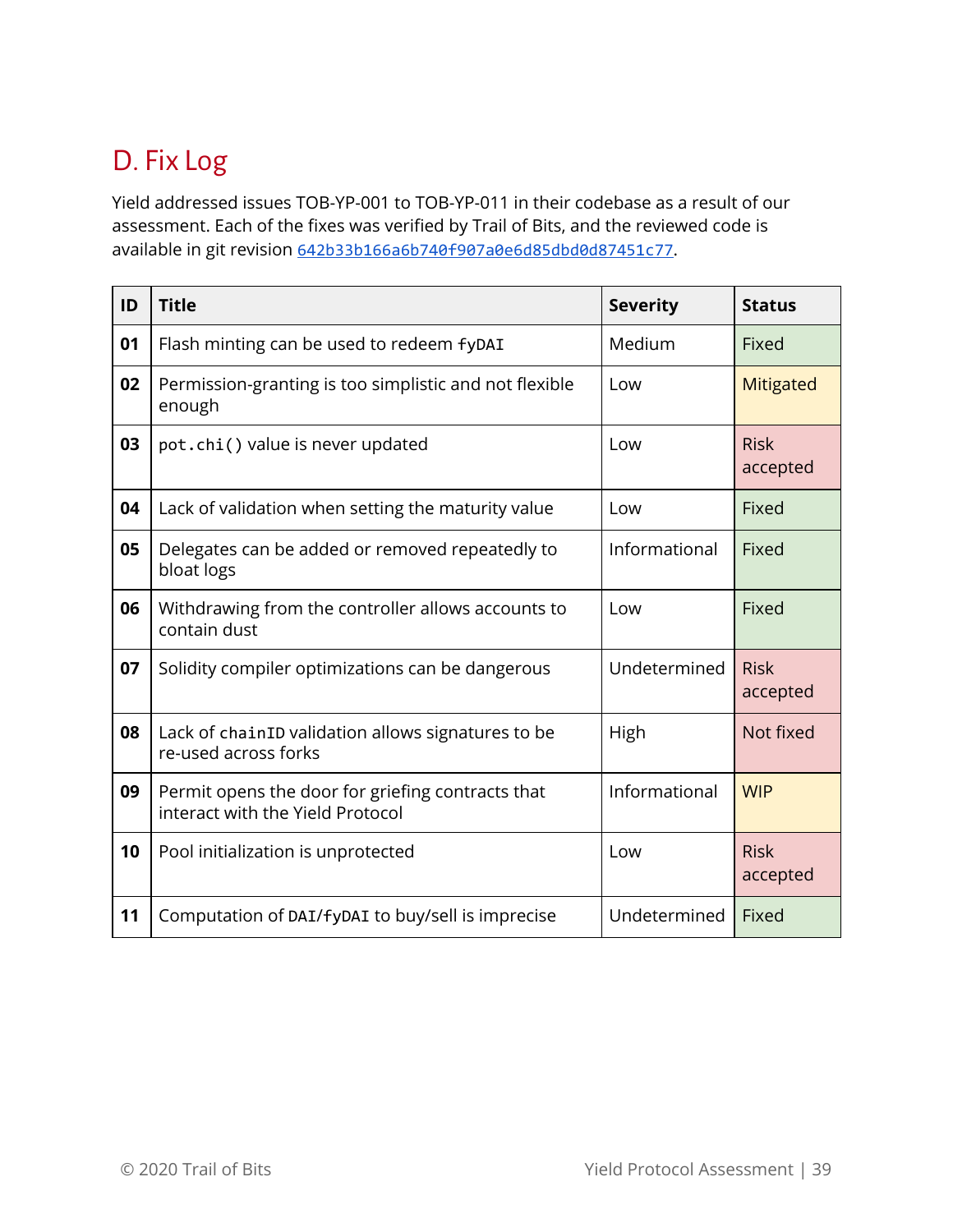# <span id="page-39-0"></span>D. Fix Log

Yield addressed issues TOB-YP-001 to TOB-YP-011 in their codebase as a result of our assessment. Each of the fixes was verified by Trail of Bits, and the reviewed code is available in git revision [642b33b166a6b740f907a0e6d85dbd0d87451c77](https://github.com/yieldprotocol/fyDAI/tree/642b33b166a6b740f907a0e6d85dbd0d87451c77).

| ID | <b>Title</b>                                                                          | <b>Severity</b> | <b>Status</b>           |
|----|---------------------------------------------------------------------------------------|-----------------|-------------------------|
| 01 | Flash minting can be used to redeem fyDAI                                             | Medium          | Fixed                   |
| 02 | Permission-granting is too simplistic and not flexible<br>enough                      | Low             | <b>Mitigated</b>        |
| 03 | pot.chi() value is never updated                                                      | Low             | <b>Risk</b><br>accepted |
| 04 | Lack of validation when setting the maturity value                                    | Low             | Fixed                   |
| 05 | Delegates can be added or removed repeatedly to<br>bloat logs                         | Informational   | Fixed                   |
| 06 | Withdrawing from the controller allows accounts to<br>contain dust                    | Low             | Fixed                   |
| 07 | Solidity compiler optimizations can be dangerous                                      | Undetermined    | <b>Risk</b><br>accepted |
| 08 | Lack of chainID validation allows signatures to be<br>re-used across forks            | High            | Not fixed               |
| 09 | Permit opens the door for griefing contracts that<br>interact with the Yield Protocol | Informational   | <b>WIP</b>              |
| 10 | Pool initialization is unprotected                                                    | Low             | <b>Risk</b><br>accepted |
| 11 | Computation of DAI/fyDAI to buy/sell is imprecise                                     | Undetermined    | Fixed                   |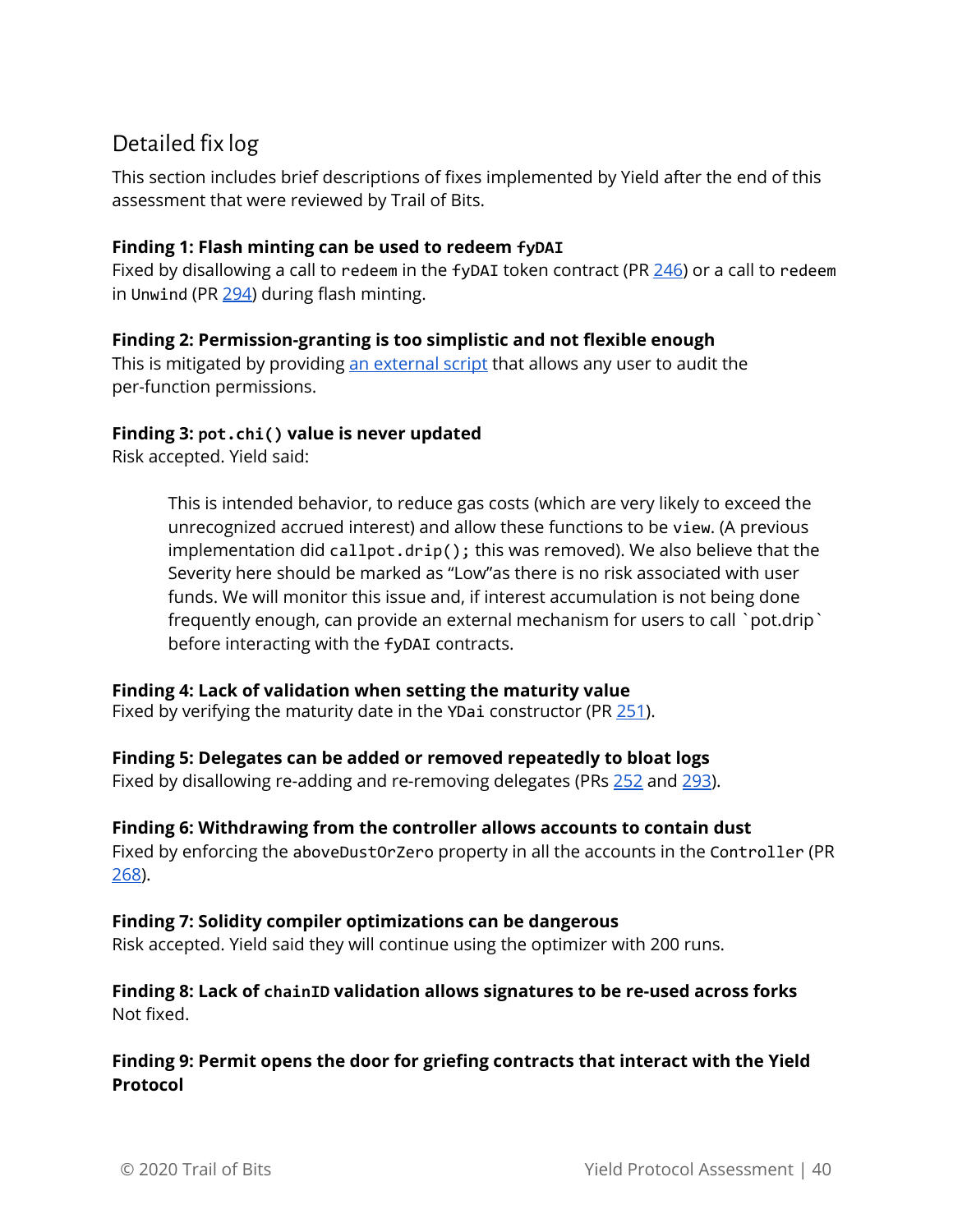# <span id="page-40-0"></span>Detailed fix log

This section includes brief descriptions of fixes implemented by Yield after the end of this assessment that were reviewed by Trail of Bits.

#### **Finding 1: Flash minting can be used to redeem fyDAI**

Fixed by disallowing a call to redeem in the fyDAI token contract (PR [246\)](https://github.com/yieldprotocol/fyDAI/pull/246) or a call to redeem in Unwind (PR [294\)](https://github.com/yieldprotocol/fyDAI/pull/294) during flash minting.

#### **Finding 2: Permission-granting is too simplistic and not flexible enough**

This is mitigated by providing an [external](https://github.com/yieldprotocol/fyDAI/blob/642b33b166a6b740f907a0e6d85dbd0d87451c77/scripts/orchestration.js) script that allows any user to audit the per-function permissions.

#### **Finding 3: pot.chi() value is never updated**

Risk accepted. Yield said:

This is intended behavior, to reduce gas costs (which are very likely to exceed the unrecognized accrued interest) and allow these functions to be view. (A previous implementation did callpot.drip(); this was removed). We also believe that the Severity here should be marked as "Low"as there is no risk associated with user funds. We will monitor this issue and, if interest accumulation is not being done frequently enough, can provide an external mechanism for users to call `pot.drip` before interacting with the fyDAI contracts.

#### **Finding 4: Lack of validation when setting the maturity value**

Fixed by verifying the maturity date in the YDai constructor (PR  $251$ ).

#### **Finding 5: Delegates can be added or removed repeatedly to bloat logs**

Fixed by disallowing re-adding and re-removing delegates (PRs [252](https://github.com/yieldprotocol/fyDAI/pull/252) and [293\)](https://github.com/yieldprotocol/fyDAI/pull/293/).

#### **Finding 6: Withdrawing from the controller allows accounts to contain dust**

Fixed by enforcing the aboveDustOrZero property in all the accounts in the Controller (PR [268\)](https://github.com/yieldprotocol/fyDai/pull/268).

#### **Finding 7: Solidity compiler optimizations can be dangerous**

Risk accepted. Yield said they will continue using the optimizer with 200 runs.

#### **Finding 8: Lack of chainID validation allows signatures to be re-used across forks** Not fixed.

#### **Finding 9: Permit opens the door for griefing contracts that interact with the Yield Protocol**